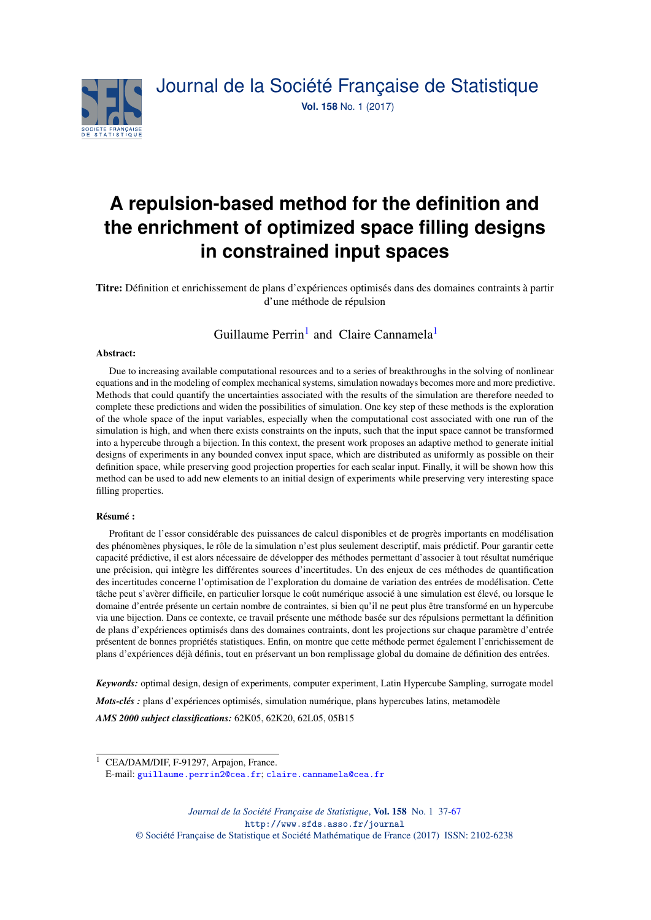

# **A repulsion-based method for the definition and the enrichment of optimized space filling designs in constrained input spaces**

Titre: Définition et enrichissement de plans d'expériences optimisés dans des domaines contraints à partir d'une méthode de répulsion

# Guillaume Perrin<sup>[1](#page-0-0)</sup> and Claire Cannamela<sup>1</sup>

#### Abstract:

Due to increasing available computational resources and to a series of breakthroughs in the solving of nonlinear equations and in the modeling of complex mechanical systems, simulation nowadays becomes more and more predictive. Methods that could quantify the uncertainties associated with the results of the simulation are therefore needed to complete these predictions and widen the possibilities of simulation. One key step of these methods is the exploration of the whole space of the input variables, especially when the computational cost associated with one run of the simulation is high, and when there exists constraints on the inputs, such that the input space cannot be transformed into a hypercube through a bijection. In this context, the present work proposes an adaptive method to generate initial designs of experiments in any bounded convex input space, which are distributed as uniformly as possible on their definition space, while preserving good projection properties for each scalar input. Finally, it will be shown how this method can be used to add new elements to an initial design of experiments while preserving very interesting space filling properties.

#### Résumé :

Profitant de l'essor considérable des puissances de calcul disponibles et de progrès importants en modélisation des phénomènes physiques, le rôle de la simulation n'est plus seulement descriptif, mais prédictif. Pour garantir cette capacité prédictive, il est alors nécessaire de développer des méthodes permettant d'associer à tout résultat numérique une précision, qui intègre les différentes sources d'incertitudes. Un des enjeux de ces méthodes de quantification des incertitudes concerne l'optimisation de l'exploration du domaine de variation des entrées de modélisation. Cette tâche peut s'avèrer difficile, en particulier lorsque le coût numérique associé à une simulation est élevé, ou lorsque le domaine d'entrée présente un certain nombre de contraintes, si bien qu'il ne peut plus être transformé en un hypercube via une bijection. Dans ce contexte, ce travail présente une méthode basée sur des répulsions permettant la définition de plans d'expériences optimisés dans des domaines contraints, dont les projections sur chaque paramètre d'entrée présentent de bonnes propriétés statistiques. Enfin, on montre que cette méthode permet également l'enrichissement de plans d'expériences déjà définis, tout en préservant un bon remplissage global du domaine de définition des entrées.

*Keywords:* optimal design, design of experiments, computer experiment, Latin Hypercube Sampling, surrogate model *Mots-clés :* plans d'expériences optimisés, simulation numérique, plans hypercubes latins, metamodèle *AMS 2000 subject classifications:* 62K05, 62K20, 62L05, 05B15

<span id="page-0-0"></span><sup>&</sup>lt;sup>1</sup> CEA/DAM/DIF, F-91297, Arpajon, France.

E-mail: [guillaume.perrin2@cea.fr](mailto:guillaume.perrin2@cea.fr); [claire.cannamela@cea.fr](mailto:claire.cannamela@cea.fr)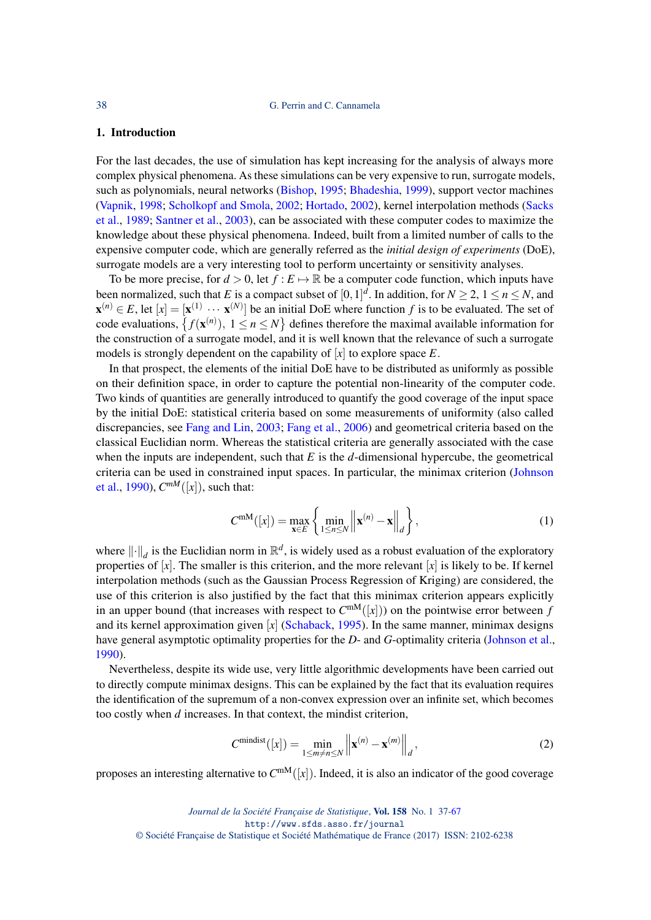#### 1. Introduction

For the last decades, the use of simulation has kept increasing for the analysis of always more complex physical phenomena. As these simulations can be very expensive to run, surrogate models, such as polynomials, neural networks [\(Bishop,](#page-29-0) [1995;](#page-29-0) [Bhadeshia,](#page-29-1) [1999\)](#page-29-1), support vector machines [\(Vapnik,](#page-30-1) [1998;](#page-30-1) [Scholkopf and Smola,](#page-30-2) [2002;](#page-30-2) [Hortado,](#page-30-3) [2002\)](#page-30-3), kernel interpolation methods [\(Sacks](#page-30-4) [et al.,](#page-30-4) [1989;](#page-30-4) [Santner et al.,](#page-30-5) [2003\)](#page-30-5), can be associated with these computer codes to maximize the knowledge about these physical phenomena. Indeed, built from a limited number of calls to the expensive computer code, which are generally referred as the *initial design of experiments* (DoE), surrogate models are a very interesting tool to perform uncertainty or sensitivity analyses.

To be more precise, for  $d > 0$ , let  $f : E \mapsto \mathbb{R}$  be a computer code function, which inputs have been normalized, such that *E* is a compact subset of  $[0,1]^d$ . In addition, for  $N \geq 2$ ,  $1 \leq n \leq N$ , and  $\mathbf{x}^{(n)} \in E$ , let  $[x] = [\mathbf{x}^{(1)} \cdots \mathbf{x}^{(N)}]$  be an initial DoE where function f is to be evaluated. The set of code evaluations,  $\{f(\mathbf{x}^{(n)})$ ,  $1 \le n \le N\}$  defines therefore the maximal available information for the construction of a surrogate model, and it is well known that the relevance of such a surrogate models is strongly dependent on the capability of [*x*] to explore space *E*.

In that prospect, the elements of the initial DoE have to be distributed as uniformly as possible on their definition space, in order to capture the potential non-linearity of the computer code. Two kinds of quantities are generally introduced to quantify the good coverage of the input space by the initial DoE: statistical criteria based on some measurements of uniformity (also called discrepancies, see [Fang and Lin,](#page-30-6) [2003;](#page-30-6) [Fang et al.,](#page-29-2) [2006\)](#page-29-2) and geometrical criteria based on the classical Euclidian norm. Whereas the statistical criteria are generally associated with the case when the inputs are independent, such that *E* is the *d*-dimensional hypercube, the geometrical criteria can be used in constrained input spaces. In particular, the minimax criterion [\(Johnson](#page-30-7) [et al.,](#page-30-7) [1990\)](#page-30-7),  $C^{mM}([x])$ , such that:

<span id="page-1-1"></span>
$$
C^{\text{mM}}([x]) = \max_{\mathbf{x} \in E} \left\{ \min_{1 \le n \le N} \left\| \mathbf{x}^{(n)} - \mathbf{x} \right\|_{d} \right\},\tag{1}
$$

where  $\|\cdot\|_d$  is the Euclidian norm in  $\mathbb{R}^d$ , is widely used as a robust evaluation of the exploratory properties of  $[x]$ . The smaller is this criterion, and the more relevant  $[x]$  is likely to be. If kernel interpolation methods (such as the Gaussian Process Regression of Kriging) are considered, the use of this criterion is also justified by the fact that this minimax criterion appears explicitly in an upper bound (that increases with respect to  $C^{mM}([x])$ ) on the pointwise error between *f* and its kernel approximation given [*x*] [\(Schaback,](#page-30-8) [1995\)](#page-30-8). In the same manner, minimax designs have general asymptotic optimality properties for the *D*- and *G*-optimality criteria [\(Johnson et al.,](#page-30-7) [1990\)](#page-30-7).

Nevertheless, despite its wide use, very little algorithmic developments have been carried out to directly compute minimax designs. This can be explained by the fact that its evaluation requires the identification of the supremum of a non-convex expression over an infinite set, which becomes too costly when *d* increases. In that context, the mindist criterion,

<span id="page-1-0"></span>
$$
C^{\text{mindist}}([x]) = \min_{1 \le m \ne n \le N} \left\| \mathbf{x}^{(n)} - \mathbf{x}^{(m)} \right\|_{d},\tag{2}
$$

proposes an interesting alternative to  $C^{mM}([x])$ . Indeed, it is also an indicator of the good coverage

*Journal de la Société Française de Statistique*, Vol. 158 No. 1 37[-67](#page-30-0) http://www.sfds.asso.fr/journal © Société Française de Statistique et Société Mathématique de France (2017) ISSN: 2102-6238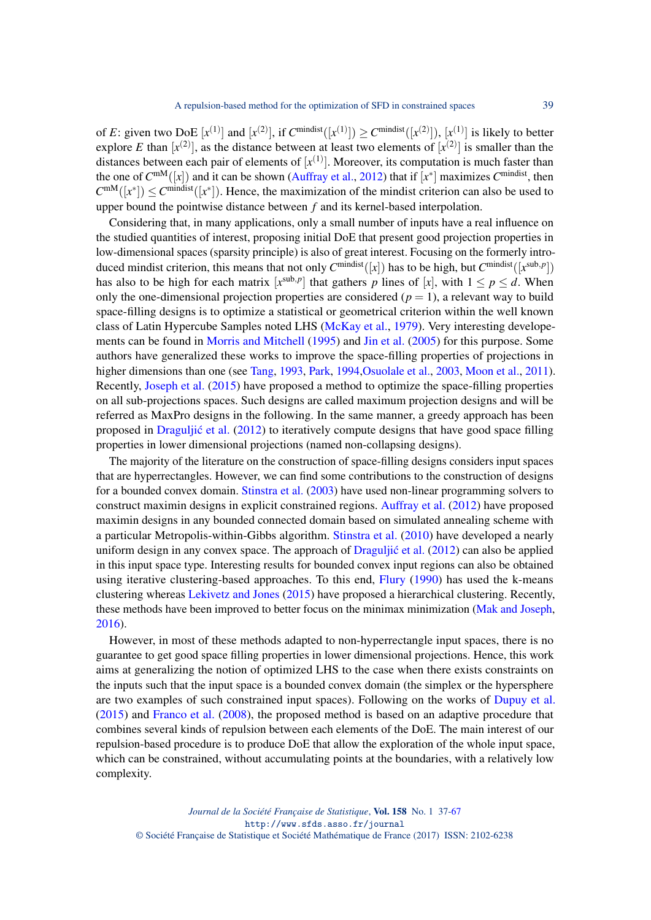of *E*: given two DoE  $[x^{(1)}]$  and  $[x^{(2)}]$ , if  $C^{mindist}([x^{(1)}]) \geq C^{mindist}([x^{(2)}])$ ,  $[x^{(1)}]$  is likely to better explore *E* than  $[x^{(2)}]$ , as the distance between at least two elements of  $[x^{(2)}]$  is smaller than the distances between each pair of elements of  $[x^{(1)}]$ . Moreover, its computation is much faster than the one of  $C^{mM}([x])$  and it can be shown [\(Auffray et al.,](#page-29-3) [2012\)](#page-29-3) that if  $[x^*]$  maximizes  $C^{mindist}$ , then  $C^{mM}([x^*]) \leq C^{mindist}([x^*])$ . Hence, the maximization of the mindist criterion can also be used to upper bound the pointwise distance between *f* and its kernel-based interpolation.

Considering that, in many applications, only a small number of inputs have a real influence on the studied quantities of interest, proposing initial DoE that present good projection properties in low-dimensional spaces (sparsity principle) is also of great interest. Focusing on the formerly introduced mindist criterion, this means that not only  $C^{mindist}([x])$  has to be high, but  $C^{mindist}([x^{sub,p}])$ has also to be high for each matrix  $[x^{\text{sub},p}]$  that gathers *p* lines of  $[x]$ , with  $1 \le p \le d$ . When only the one-dimensional projection properties are considered ( $p = 1$ ), a relevant way to build space-filling designs is to optimize a statistical or geometrical criterion within the well known class of Latin Hypercube Samples noted LHS [\(McKay et al.,](#page-30-9) [1979\)](#page-30-9). Very interesting developements can be found in [Morris and Mitchell](#page-30-10) [\(1995\)](#page-30-10) and [Jin et al.](#page-30-11) [\(2005\)](#page-30-11) for this purpose. Some authors have generalized these works to improve the space-filling properties of projections in higher dimensions than one (see [Tang,](#page-30-12) [1993,](#page-30-12) [Park,](#page-30-13) [1994,](#page-30-13) [Osuolale et al.,](#page-30-14) [2003,](#page-30-14) [Moon et al.,](#page-30-15) [2011\)](#page-30-15). Recently, [Joseph et al.](#page-30-16) [\(2015\)](#page-30-16) have proposed a method to optimize the space-filling properties on all sub-projections spaces. Such designs are called maximum projection designs and will be referred as MaxPro designs in the following. In the same manner, a greedy approach has been proposed in Draguljić et al.  $(2012)$  to iteratively compute designs that have good space filling properties in lower dimensional projections (named non-collapsing designs).

The majority of the literature on the construction of space-filling designs considers input spaces that are hyperrectangles. However, we can find some contributions to the construction of designs for a bounded convex domain. [Stinstra et al.](#page-30-17) [\(2003\)](#page-30-17) have used non-linear programming solvers to construct maximin designs in explicit constrained regions. [Auffray et al.](#page-29-3) [\(2012\)](#page-29-3) have proposed maximin designs in any bounded connected domain based on simulated annealing scheme with a particular Metropolis-within-Gibbs algorithm. [Stinstra et al.](#page-30-18) [\(2010\)](#page-30-18) have developed a nearly uniform design in any convex space. The approach of  $Dragulji\acute{c}$  et al.  $(2012)$  can also be applied in this input space type. Interesting results for bounded convex input regions can also be obtained using iterative clustering-based approaches. To this end, [Flury](#page-30-19) [\(1990\)](#page-30-19) has used the k-means clustering whereas [Lekivetz and Jones](#page-30-20) [\(2015\)](#page-30-20) have proposed a hierarchical clustering. Recently, these methods have been improved to better focus on the minimax minimization [\(Mak and Joseph,](#page-30-21) [2016\)](#page-30-21).

However, in most of these methods adapted to non-hyperrectangle input spaces, there is no guarantee to get good space filling properties in lower dimensional projections. Hence, this work aims at generalizing the notion of optimized LHS to the case when there exists constraints on the inputs such that the input space is a bounded convex domain (the simplex or the hypersphere are two examples of such constrained input spaces). Following on the works of [Dupuy et al.](#page-29-5) [\(2015\)](#page-29-5) and [Franco et al.](#page-30-22) [\(2008\)](#page-30-22), the proposed method is based on an adaptive procedure that combines several kinds of repulsion between each elements of the DoE. The main interest of our repulsion-based procedure is to produce DoE that allow the exploration of the whole input space, which can be constrained, without accumulating points at the boundaries, with a relatively low complexity.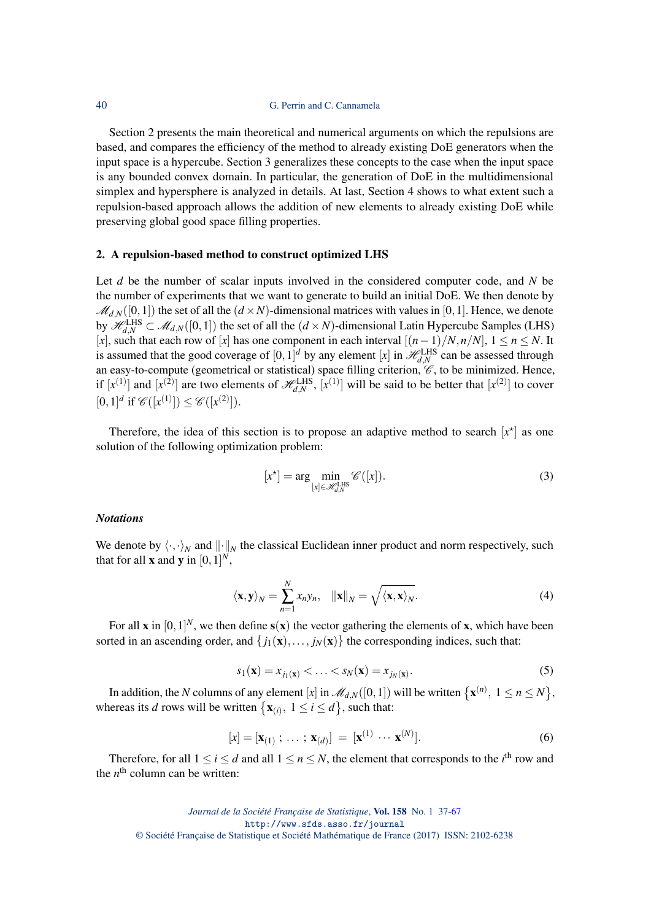Section 2 presents the main theoretical and numerical arguments on which the repulsions are based, and compares the efficiency of the method to already existing DoE generators when the input space is a hypercube. Section 3 generalizes these concepts to the case when the input space is any bounded convex domain. In particular, the generation of DoE in the multidimensional simplex and hypersphere is analyzed in details. At last, Section 4 shows to what extent such a repulsion-based approach allows the addition of new elements to already existing DoE while preserving global good space filling properties.

#### <span id="page-3-0"></span>2. A repulsion-based method to construct optimized LHS

Let *d* be the number of scalar inputs involved in the considered computer code, and *N* be the number of experiments that we want to generate to build an initial DoE. We then denote by  $\mathcal{M}_{d,N}([0,1])$  the set of all the  $(d \times N)$ -dimensional matrices with values in [0,1]. Hence, we denote by  $\mathscr{H}_{d,N}^{\text{LHS}} \subset \mathscr{M}_{d,N}([0,1])$  the set of all the  $(d \times N)$ -dimensional Latin Hypercube Samples (LHS) [*x*], such that each row of [*x*] has one component in each interval [(*n*−1)/*N*,*n*/*N*], 1 ≤ *n* ≤ *N*. It is assumed that the good coverage of  $[0,1]^d$  by any element [*x*] in  $\mathcal{H}_{d,N}^{\text{LHS}}$  can be assessed through an easy-to-compute (geometrical or statistical) space filling criterion,  $\mathscr{C}$ , to be minimized. Hence, if  $[x^{(1)}]$  and  $[x^{(2)}]$  are two elements of  $\mathcal{H}_{d,N}^{\text{LHS}}, [x^{(1)}]$  will be said to be better that  $[x^{(2)}]$  to cover  $[0,1]^d$  if  $\mathscr{C}([x^{(1)}]) \leq \mathscr{C}([x^{(2)}])$ .

Therefore, the idea of this section is to propose an adaptive method to search  $[x^*]$  as one solution of the following optimization problem:

$$
[x^*] = \arg\min_{[x] \in \mathcal{H}_{d,N}^{\text{LHS}}} \mathcal{C}([x]).
$$
 (3)

#### *Notations*

We denote by  $\langle \cdot, \cdot \rangle_N$  and  $\|\cdot\|_N$  the classical Euclidean inner product and norm respectively, such that for all **x** and **y** in  $[0,1]^N$ ,

$$
\langle \mathbf{x}, \mathbf{y} \rangle_N = \sum_{n=1}^N x_n y_n, \quad ||\mathbf{x}||_N = \sqrt{\langle \mathbf{x}, \mathbf{x} \rangle_N}.
$$
 (4)

For all **x** in  $[0,1]^N$ , we then define  $s(x)$  the vector gathering the elements of **x**, which have been sorted in an ascending order, and  $\{j_1(\mathbf{x}),..., j_N(\mathbf{x})\}$  the corresponding indices, such that:

$$
s_1(\mathbf{x}) = x_{j_1(\mathbf{x})} < \ldots < s_N(\mathbf{x}) = x_{j_N(\mathbf{x})}.\tag{5}
$$

In addition, the *N* columns of any element [*x*] in  $\mathscr{M}_{d,N}([0,1])$  will be written  $\{ \mathbf{x}^{(n)},\; 1\leq n\leq N\}$ , whereas its *d* rows will be written  $\{x_{(i)}, 1 \le i \le d\}$ , such that:

$$
[x] = [\mathbf{x}_{(1)}; \dots; \mathbf{x}_{(d)}] = [\mathbf{x}^{(1)} \cdots \mathbf{x}^{(N)}].
$$
 (6)

Therefore, for all  $1 \le i \le d$  and all  $1 \le n \le N$ , the element that corresponds to the *i*<sup>th</sup> row and the  $n^{\text{th}}$  column can be written: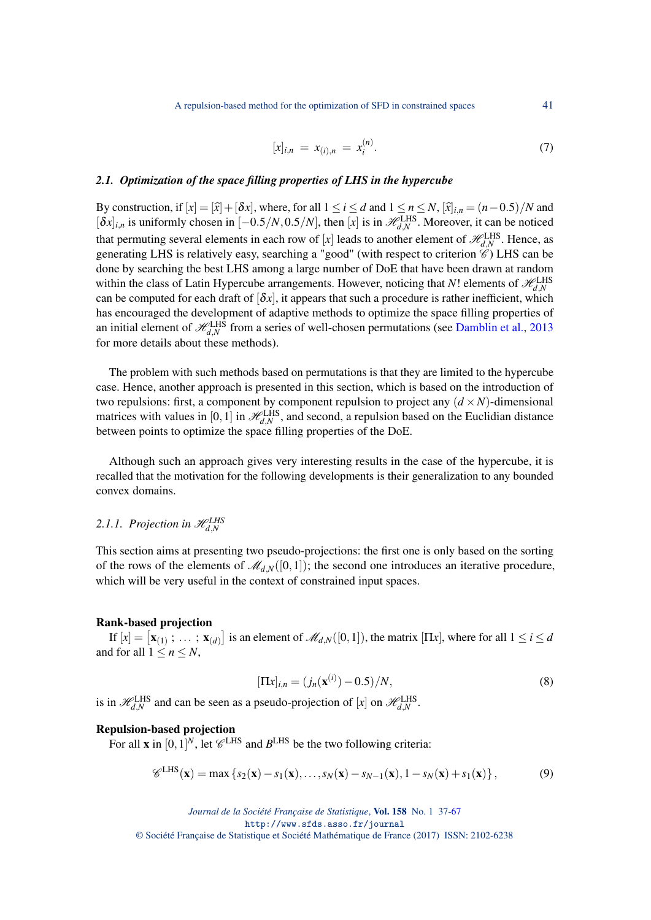A repulsion-based method for the optimization of SFD in constrained spaces 41

$$
[x]_{i,n} = x_{(i),n} = x_i^{(n)}.
$$
 (7)

## *2.1. Optimization of the space filling properties of LHS in the hypercube*

By construction, if  $[x] = [\hat{x}] + [\delta x]$ , where, for all  $1 \le i \le d$  and  $1 \le n \le N$ ,  $[\hat{x}]_{i,n} = (n-0.5)/N$  and  $[\delta x]_{i,n}$  is uniformly chosen in  $[-0.5/N, 0.5/N]$ , then  $[x]$  is in  $\mathcal{H}_{d,N}^{\text{LHS}}$ . Moreover, it can be noticed that permuting several elements in each row of [*x*] leads to another element of  $\mathscr{H}_{d,N}^{\text{LHS}}$ . Hence, as generating LHS is relatively easy, searching a "good" (with respect to criterion  $\mathscr{C}$ ) LHS can be done by searching the best LHS among a large number of DoE that have been drawn at random within the class of Latin Hypercube arrangements. However, noticing that *N*! elements of  $\mathcal{H}_{d,N}^{\text{LHS}}$ can be computed for each draft of  $[\delta x]$ , it appears that such a procedure is rather inefficient, which has encouraged the development of adaptive methods to optimize the space filling properties of an initial element of  $\mathcal{H}_{d,N}^{\text{LHS}}$  from a series of well-chosen permutations (see [Damblin et al.,](#page-29-6) [2013](#page-29-6) for more details about these methods).

The problem with such methods based on permutations is that they are limited to the hypercube case. Hence, another approach is presented in this section, which is based on the introduction of two repulsions: first, a component by component repulsion to project any  $(d \times N)$ -dimensional matrices with values in [0, 1] in  $\mathcal{H}_{d,N}^{\text{LHS}}$ , and second, a repulsion based on the Euclidian distance between points to optimize the space filling properties of the DoE.

Although such an approach gives very interesting results in the case of the hypercube, it is recalled that the motivation for the following developments is their generalization to any bounded convex domains.

# <span id="page-4-0"></span>2.1.1. Projection in  $\mathscr{H}_{d,N}^{\text{LHS}}$

This section aims at presenting two pseudo-projections: the first one is only based on the sorting of the rows of the elements of  $\mathcal{M}_{d,N}([0,1])$ ; the second one introduces an iterative procedure, which will be very useful in the context of constrained input spaces.

#### Rank-based projection

If  $[x] = [\mathbf{x}_{(1)}; \dots; \mathbf{x}_{(d)}]$  is an element of  $\mathcal{M}_{d,N}([0,1])$ , the matrix  $[\Pi x]$ , where for all  $1 \le i \le d$ and for all  $1 \leq n \leq N$ ,

$$
[\Pi x]_{i,n} = (j_n(\mathbf{x}^{(i)}) - 0.5)/N,\tag{8}
$$

is in  $\mathcal{H}_{d,N}^{\text{LHS}}$  and can be seen as a pseudo-projection of [*x*] on  $\mathcal{H}_{d,N}^{\text{LHS}}$ .

# Repulsion-based projection

For all **x** in  $[0,1]^N$ , let  $\mathcal{C}^{\text{LHS}}$  and  $B^{\text{LHS}}$  be the two following criteria:

<span id="page-4-1"></span>
$$
\mathscr{C}^{\text{LHS}}(\mathbf{x}) = \max \left\{ s_2(\mathbf{x}) - s_1(\mathbf{x}), \dots, s_N(\mathbf{x}) - s_{N-1}(\mathbf{x}), 1 - s_N(\mathbf{x}) + s_1(\mathbf{x}) \right\},\tag{9}
$$

© Société Française de Statistique et Société Mathématique de France (2017) ISSN: 2102-6238

*Journal de la Société Française de Statistique*, Vol. 158 No. 1 37[-67](#page-30-0) http://www.sfds.asso.fr/journal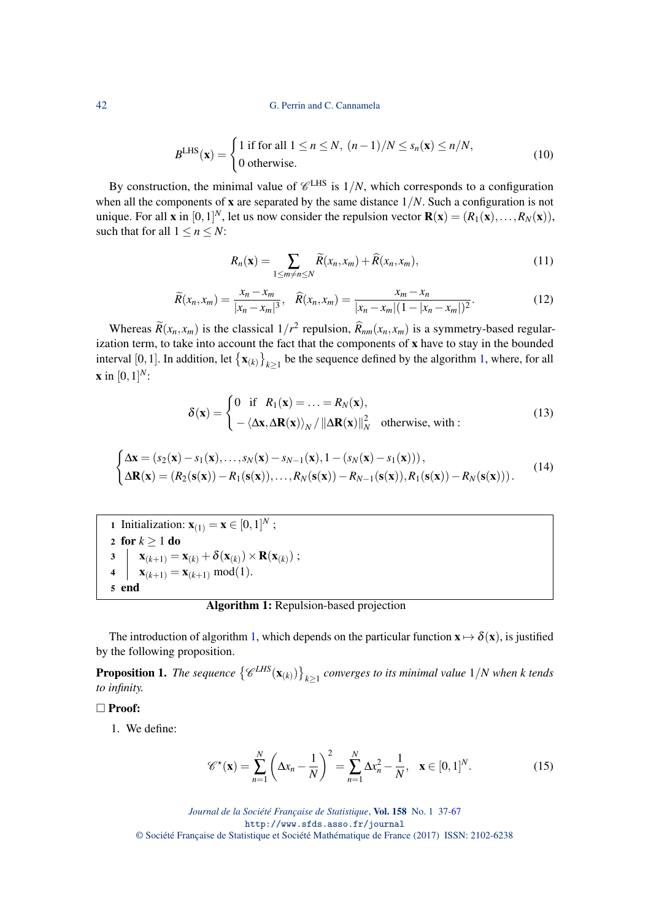#### 42 G. Perrin and C. Cannamela

$$
BLHS(\mathbf{x}) = \begin{cases} 1 \text{ if for all } 1 \le n \le N, \ (n-1)/N \le s_n(\mathbf{x}) \le n/N, \\ 0 \text{ otherwise.} \end{cases}
$$
(10)

By construction, the minimal value of  $\mathcal{C}^{\text{LHS}}$  is  $1/N$ , which corresponds to a configuration when all the components of **x** are separated by the same distance  $1/N$ . Such a configuration is not unique. For all **x** in  $[0,1]^N$ , let us now consider the repulsion vector  $\mathbf{R}(\mathbf{x}) = (R_1(\mathbf{x}),...,R_N(\mathbf{x})),$ such that for all  $1 \le n \le N$ :

<span id="page-5-2"></span>
$$
R_n(\mathbf{x}) = \sum_{1 \le m \ne n \le N} \widetilde{R}(x_n, x_m) + \widehat{R}(x_n, x_m), \tag{11}
$$

<span id="page-5-1"></span>
$$
\widetilde{R}(x_n, x_m) = \frac{x_n - x_m}{|x_n - x_m|^3}, \quad \widehat{R}(x_n, x_m) = \frac{x_m - x_n}{|x_n - x_m|(1 - |x_n - x_m|)^2}.
$$
\n(12)

Whereas  $\widetilde{R}(x_n, x_m)$  is the classical  $1/r^2$  repulsion,  $\widehat{R}_{nm}(x_n, x_m)$  is a symmetry-based regularization term, to take into account the fact that the components of x have to stay in the bounded interval [0, 1]. In addition, let  $\{x_{(k)}\}_{k\geq 1}$  be the sequence defined by the algorithm [1,](#page-5-0) where, for all **x** in  $[0, 1]^{N}$ :

$$
\delta(\mathbf{x}) = \begin{cases}\n0 & \text{if } R_1(\mathbf{x}) = \ldots = R_N(\mathbf{x}), \\
-\langle \Delta \mathbf{x}, \Delta \mathbf{R}(\mathbf{x}) \rangle_N / ||\Delta \mathbf{R}(\mathbf{x})||_N^2 & \text{otherwise, with :} \n\end{cases}
$$
\n(13)

$$
\begin{cases}\n\Delta \mathbf{x} = (s_2(\mathbf{x}) - s_1(\mathbf{x}), \dots, s_N(\mathbf{x}) - s_{N-1}(\mathbf{x}), 1 - (s_N(\mathbf{x}) - s_1(\mathbf{x}))), \\
\Delta \mathbf{R}(\mathbf{x}) = (R_2(\mathbf{s}(\mathbf{x})) - R_1(\mathbf{s}(\mathbf{x})), \dots, R_N(\mathbf{s}(\mathbf{x})) - R_{N-1}(\mathbf{s}(\mathbf{x})), R_1(\mathbf{s}(\mathbf{x})) - R_N(\mathbf{s}(\mathbf{x}))).\n\end{cases} (14)
$$

1 Initialization:  $\mathbf{x}_{(1)} = \mathbf{x} \in [0,1]^N$ ; 2 for  $k \geq 1$  do  $\mathbf{x}_{(k+1)} = \mathbf{x}_{(k)} + \delta(\mathbf{x}_{(k)}) \times \mathbf{R}(\mathbf{x}_{(k)}) ;$ 4  $\mathbf{x}_{(k+1)} = \mathbf{x}_{(k+1)} \mod (1).$ 5 end

# Algorithm 1: Repulsion-based projection

<span id="page-5-0"></span>The introduction of algorithm [1,](#page-5-0) which depends on the particular function  $x \mapsto \delta(x)$ , is justified by the following proposition.

**Proposition 1.** The sequence  $\left\{\mathscr{C}^{LHS}(\mathbf{x}_{(k)})\right\}_{k\geq 1}$  converges to its minimal value  $1/N$  when k tends *to infinity.*

#### □ Proof:

1. We define:

<span id="page-5-3"></span>
$$
\mathscr{C}^{\star}(\mathbf{x}) = \sum_{n=1}^{N} \left( \Delta x_n - \frac{1}{N} \right)^2 = \sum_{n=1}^{N} \Delta x_n^2 - \frac{1}{N}, \quad \mathbf{x} \in [0, 1]^N.
$$
 (15)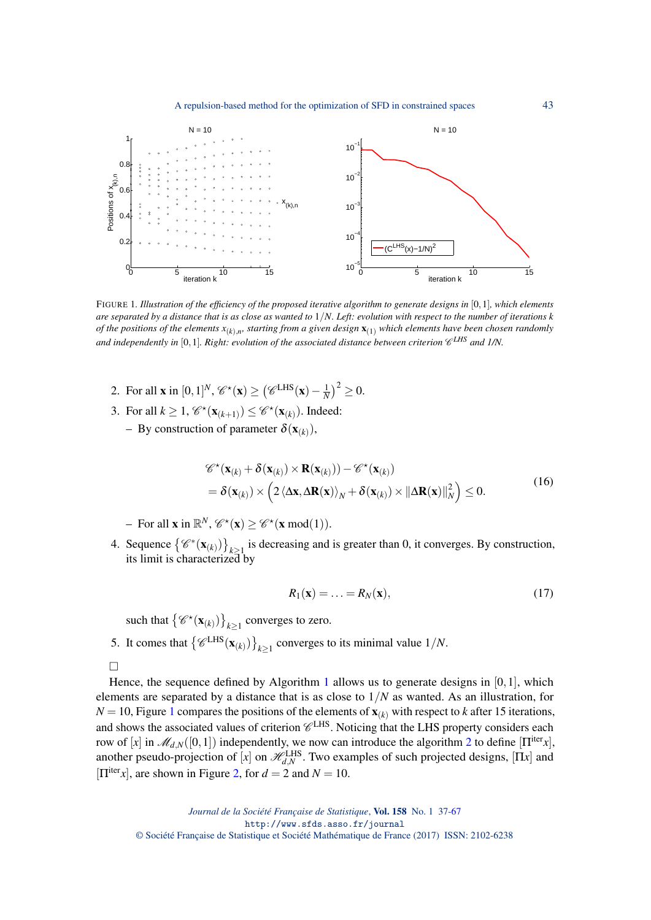A repulsion-based method for the optimization of SFD in constrained spaces 43



<span id="page-6-0"></span>FIGURE 1*. Illustration of the efficiency of the proposed iterative algorithm to generate designs in* [0,1]*, which elements are separated by a distance that is as close as wanted to* 1/*N. Left: evolution with respect to the number of iterations k of the positions of the elements x*(*k*),*<sup>n</sup> , starting from a given design* x(1) *which elements have been chosen randomly* and independently in  $[0,1]$ . Right: evolution of the associated distance between criterion  $\mathscr{C}^{LHS}$  and 1/N.

- 2. For all **x** in  $[0,1]^N$ ,  $\mathscr{C}^*(\mathbf{x}) \ge (\mathscr{C}^{\text{LHS}}(\mathbf{x}) \frac{1}{N})^2 \ge 0$ .
- 3. For all  $k \geq 1$ ,  $\mathcal{C}^*(\mathbf{x}_{(k+1)}) \leq \mathcal{C}^*(\mathbf{x}_{(k)})$ . Indeed:
	- $-$  By construction of parameter  $\delta(\mathbf{x}_{(k)})$ ,

$$
\mathscr{C}^{\star}(\mathbf{x}_{(k)} + \delta(\mathbf{x}_{(k)}) \times \mathbf{R}(\mathbf{x}_{(k)})) - \mathscr{C}^{\star}(\mathbf{x}_{(k)}) \n= \delta(\mathbf{x}_{(k)}) \times \left(2 \langle \Delta \mathbf{x}, \Delta \mathbf{R}(\mathbf{x}) \rangle_{N} + \delta(\mathbf{x}_{(k)}) \times ||\Delta \mathbf{R}(\mathbf{x})||_{N}^{2}\right) \leq 0.
$$
\n(16)

- For all **x** in  $\mathbb{R}^N$ ,  $\mathcal{C}^*(\mathbf{x}) \geq \mathcal{C}^*(\mathbf{x} \mod (1)).$ 

4. Sequence  $\{\mathscr{C}^*(\mathbf{x}_{(k)})\}_{k\geq 1}$  is decreasing and is greater than 0, it converges. By construction, its limit is characterized by

$$
R_1(\mathbf{x}) = \ldots = R_N(\mathbf{x}),\tag{17}
$$

such that  $\left\{\mathscr{C}^\star(\mathbf{x}_{(k)})\right\}_{k\geq 1}$  converges to zero.

5. It comes that  $\left\{\mathscr{C}^{\text{LHS}}(\mathbf{x}_{(k)})\right\}_{k\geq 1}$  converges to its minimal value  $1/N$ .

Hence, the sequence defined by Algorithm [1](#page-5-0) allows us to generate designs in  $[0,1]$ , which elements are separated by a distance that is as close to 1/*N* as wanted. As an illustration, for  $N = 10$  $N = 10$  $N = 10$ , Figure 1 compares the positions of the elements of  $\mathbf{x}_{(k)}$  with respect to *k* after 15 iterations, and shows the associated values of criterion  $\mathscr{C}^{\mathrm{LHS}}$ . Noticing that the LHS property considers each row of [*x*] in  $\mathcal{M}_{d,N}([0,1])$  independently, we now can introduce the algorithm [2](#page-7-0) to define  $[\Pi^{\text{iter}}x]$ , another pseudo-projection of [*x*] on  $\mathcal{H}_{d,N}^{\text{LHS}}$ . Two examples of such projected designs, [Π*x*] and  $[\Pi^{iter}x]$ , are shown in Figure [2,](#page-7-1) for  $d = 2$  and  $N = 10$ .

 $\Box$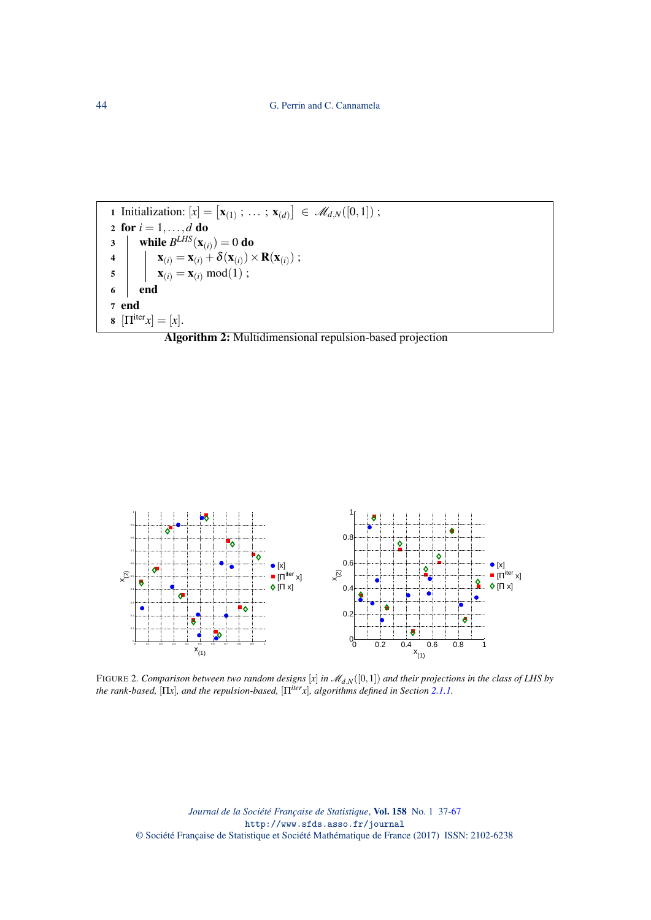1 Initialization: 
$$
[x] = [\mathbf{x}_{(1)}; \dots; \mathbf{x}_{(d)}] \in \mathcal{M}_{d,N}([0,1])
$$
; \n2 for  $i = 1, \dots, d$  do \n3 \n while  $B^{LHS}(\mathbf{x}_{(i)}) = 0$  do \n4 \n  $\begin{array}{|c|}\n\mathbf{x}_{(i)} = \mathbf{x}_{(i)} + \delta(\mathbf{x}_{(i)}) \times \mathbf{R}(\mathbf{x}_{(i)}) \\
\mathbf{x}_{(i)} = \mathbf{x}_{(i)} \mod(1) \\
\mathbf{0} \\
\mathbf{0} \\
\mathbf{0} \\
\mathbf{0} \\
\mathbf{1} \\
\mathbf{0} \\
\mathbf{1} \\
\mathbf{0} \\
\mathbf{0} \\
\mathbf{1}\n\end{array}$ 

<span id="page-7-0"></span>



<span id="page-7-1"></span>FIGURE 2*. Comparison between two random designs* [*x*] *in* M*d*,*N*([0,1]) *and their projections in the class of LHS by the rank-based,* [Π*x*]*, and the repulsion-based,* [Π*iterx*]*, algorithms defined in Section [2.1.1.](#page-4-0)*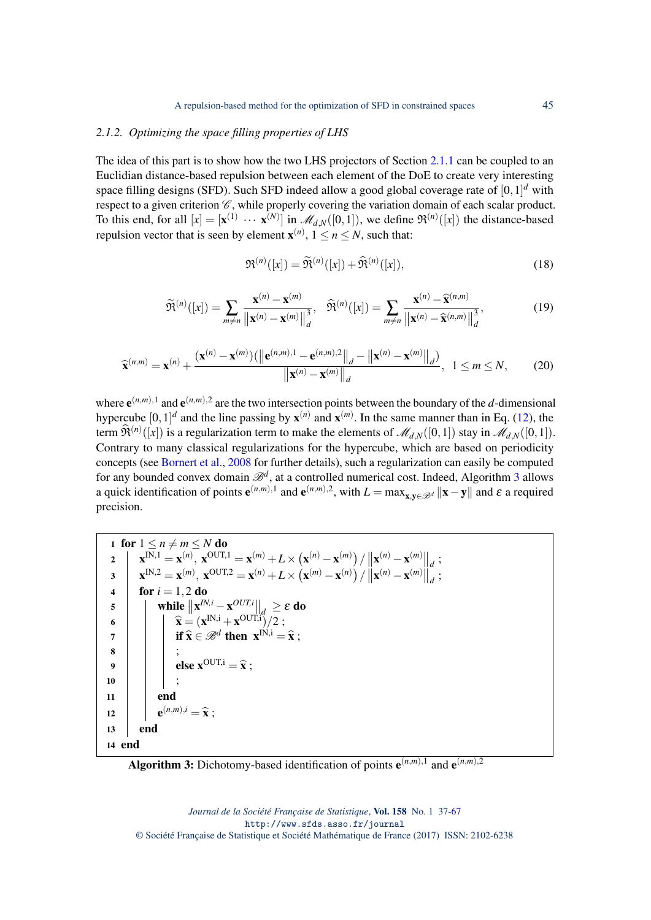#### *2.1.2. Optimizing the space filling properties of LHS*

The idea of this part is to show how the two LHS projectors of Section [2.1.1](#page-4-0) can be coupled to an Euclidian distance-based repulsion between each element of the DoE to create very interesting space filling designs (SFD). Such SFD indeed allow a good global coverage rate of [0,1] *<sup>d</sup>* with respect to a given criterion  $\mathscr{C}$ , while properly covering the variation domain of each scalar product. To this end, for all  $[x] = [\mathbf{x}^{(1)} \cdots \mathbf{x}^{(N)}]$  in  $\mathcal{M}_{d,N}([0,1])$ , we define  $\mathfrak{R}^{(n)}([x])$  the distance-based repulsion vector that is seen by element  $\mathbf{x}^{(n)}$ ,  $1 \le n \le N$ , such that:

$$
\mathfrak{R}^{(n)}([x]) = \widetilde{\mathfrak{R}}^{(n)}([x]) + \widehat{\mathfrak{R}}^{(n)}([x]),\tag{18}
$$

$$
\widetilde{\mathfrak{R}}^{(n)}([x]) = \sum_{m \neq n} \frac{\mathbf{x}^{(n)} - \mathbf{x}^{(m)}}{\|\mathbf{x}^{(n)} - \mathbf{x}^{(m)}\|_{d}^{3}}, \quad \widehat{\mathfrak{R}}^{(n)}([x]) = \sum_{m \neq n} \frac{\mathbf{x}^{(n)} - \widehat{\mathbf{x}}^{(n,m)}}{\|\mathbf{x}^{(n)} - \widehat{\mathbf{x}}^{(n,m)}\|_{d}^{3}},\tag{19}
$$

$$
\widehat{\mathbf{x}}^{(n,m)} = \mathbf{x}^{(n)} + \frac{(\mathbf{x}^{(n)} - \mathbf{x}^{(m)})(\left\|\mathbf{e}^{(n,m),1} - \mathbf{e}^{(n,m),2}\right\|_{d} - \left\|\mathbf{x}^{(n)} - \mathbf{x}^{(m)}\right\|_{d})}{\left\|\mathbf{x}^{(n)} - \mathbf{x}^{(m)}\right\|_{d}}, \quad 1 \leq m \leq N,
$$
 (20)

where  $e^{(n,m),1}$  and  $e^{(n,m),2}$  are the two intersection points between the boundary of the *d*-dimensional hypercube  $[0,1]^d$  and the line passing by  $\mathbf{x}^{(n)}$  and  $\mathbf{x}^{(m)}$ . In the same manner than in Eq. [\(12\)](#page-5-1), the term  $\hat{\mathfrak{R}}^{(n)}([x])$  is a regularization term to make the elements of  $\mathcal{M}_{d,N}([0,1])$  stay in  $\mathcal{M}_{d,N}([0,1])$ . Contrary to many classical regularizations for the hypercube, which are based on periodicity concepts (see [Bornert et al.,](#page-29-7) [2008](#page-29-7) for further details), such a regularization can easily be computed for any bounded convex domain  $\mathscr{B}^d$ , at a controlled numerical cost. Indeed, Algorithm [3](#page-8-0) allows a quick identification of points  $e^{(n,m),1}$  and  $e^{(n,m),2}$ , with  $L = \max_{\mathbf{x}, \mathbf{y} \in \mathcal{B}^d} ||\mathbf{x} - \mathbf{y}||$  and  $\varepsilon$  a required precision.

1 for  $1 \le n \ne m \le N$  do  $\mathbf{x}^{\text{IN},1} = \mathbf{x}^{(n)}, \ \mathbf{x}^{\text{OUT},1} = \mathbf{x}^{(m)} + L \times (\mathbf{x}^{(n)} - \mathbf{x}^{(m)}) / ||\mathbf{x}^{(n)} - \mathbf{x}^{(m)}||_d ;$  $\mathbf{x}^{\text{IN},2} = \mathbf{x}^{(m)}, \ \mathbf{x}^{\text{OUT},2} = \mathbf{x}^{(n)} + L \times (\mathbf{x}^{(m)} - \mathbf{x}^{(n)}) \ / \left\| \mathbf{x}^{(n)} - \mathbf{x}^{(m)} \right\|_d;$ 4 **for**  $i = 1, 2$  **do** 5 **while**  $\|\mathbf{x}^{IN,i} - \mathbf{x}^{OUT,i}\|_{d} \ge \varepsilon$  do 6  $\hat{\mathbf{x}} = (\mathbf{x}^{\text{IN},i} + \mathbf{x}^{\text{OUT},i})/2 ;$ <br> $\mathbf{F} \hat{\mathbf{x}} \in \mathbb{Z}^d$  then  $\mathbf{x}^{\text{IN},i}$  $\begin{array}{c|c}\n\mathbf{7} & \mathbf{3} \\
\mathbf{8} & \mathbf{1} \\
\mathbf{9} & \mathbf{1}\n\end{array}$  if  $\widehat{\mathbf{x}} \in \mathcal{B}^d$  then  $\mathbf{x}^{IN,i} = \widehat{\mathbf{x}}$ ; 8 | | | ; 9 else  $\mathbf{x}^{\text{OUT},i} = \hat{\mathbf{x}}$ ; 10 | | | ;  $11$  end 12  $\left| \begin{array}{c} \end{array} \right| \mathbf{e}^{(n,m),i} = \mathbf{\hat{x}}$ ; 13 end 14 end

<span id="page-8-0"></span>Algorithm 3: Dichotomy-based identification of points  $e^{(n,m),1}$  and  $e^{(n,m),2}$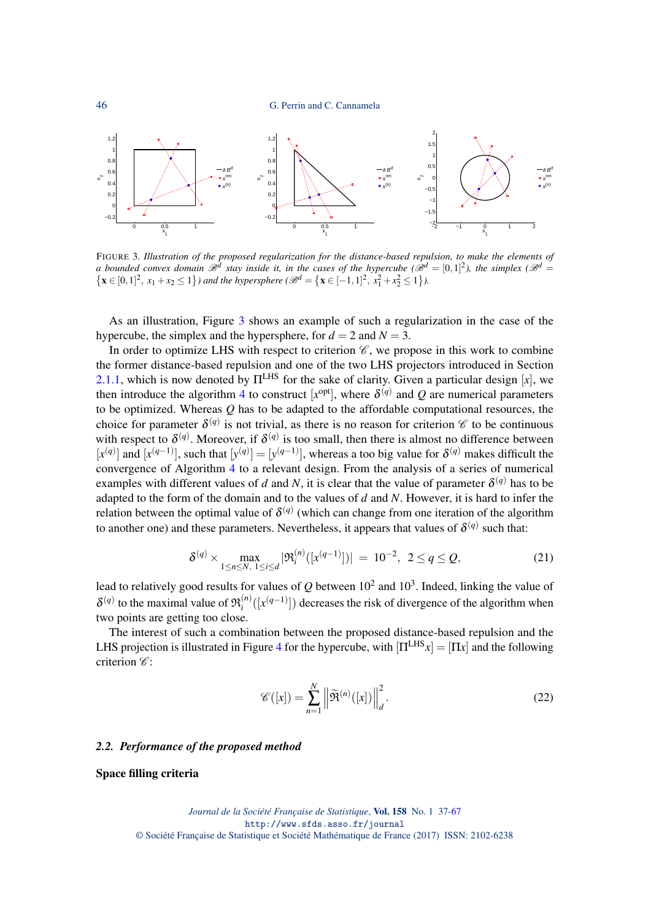

<span id="page-9-0"></span>FIGURE 3*. Illustration of the proposed regularization for the distance-based repulsion, to make the elements of a bounded convex domain*  $\mathscr{B}^d$  *stay inside it, in the cases of the hypercube (* $\mathscr{B}^d = [0,1]^2$ *), the simplex (* $\mathscr{B}^d$  *=*  $\{ \mathbf{x} \in [0,1]^2, x_1 + x_2 \le 1 \}$  and the hypersphere  $\mathscr{B}^d = \{ \mathbf{x} \in [-1,1]^2, x_1^2 + x_2^2 \le 1 \}$ .

As an illustration, Figure [3](#page-9-0) shows an example of such a regularization in the case of the hypercube, the simplex and the hypersphere, for  $d = 2$  and  $N = 3$ .

In order to optimize LHS with respect to criterion  $\mathscr{C}$ , we propose in this work to combine the former distance-based repulsion and one of the two LHS projectors introduced in Section [2.1.1,](#page-4-0) which is now denoted by  $\Pi^{LHS}$  for the sake of clarity. Given a particular design [x], we then introduce the algorithm [4](#page-10-0) to construct  $[x^{opt}]$ , where  $\delta^{(q)}$  and Q are numerical parameters to be optimized. Whereas *Q* has to be adapted to the affordable computational resources, the choice for parameter  $\delta^{(q)}$  is not trivial, as there is no reason for criterion  $\mathscr C$  to be continuous with respect to  $\delta^{(q)}$ . Moreover, if  $\delta^{(q)}$  is too small, then there is almost no difference between  $[x^{(q)}]$  and  $[x^{(q-1)}]$ , such that  $[y^{(q)}] = [y^{(q-1)}]$ , whereas a too big value for  $\delta^{(q)}$  makes difficult the convergence of Algorithm [4](#page-10-0) to a relevant design. From the analysis of a series of numerical examples with different values of *d* and *N*, it is clear that the value of parameter  $\delta^{(q)}$  has to be adapted to the form of the domain and to the values of *d* and *N*. However, it is hard to infer the relation between the optimal value of  $\delta^{(q)}$  (which can change from one iteration of the algorithm to another one) and these parameters. Nevertheless, it appears that values of  $\delta^{(q)}$  such that:

<span id="page-9-2"></span>
$$
\delta^{(q)} \times \max_{1 \le n \le N, \ 1 \le i \le d} |\mathfrak{R}_i^{(n)}([x^{(q-1)}])| = 10^{-2}, \ 2 \le q \le Q,\tag{21}
$$

lead to relatively good results for values of  $Q$  between  $10^2$  and  $10^3$ . Indeed, linking the value of  $\delta^{(q)}$  to the maximal value of  $\mathfrak{R}_i^{(n)}$  $\binom{n}{i}$ ([ $x$ <sup>( $q-1$ </sup>)]) decreases the risk of divergence of the algorithm when two points are getting too close.

The interest of such a combination between the proposed distance-based repulsion and the LHS projection is illustrated in Figure [4](#page-10-1) for the hypercube, with  $[\Pi^{LHS}x] = [\Pi x]$  and the following criterion  $\mathscr{C}$ :

<span id="page-9-1"></span>
$$
\mathscr{C}([x]) = \sum_{n=1}^{N} \left\| \widetilde{\mathfrak{R}}^{(n)}([x]) \right\|_{d}^{2}.
$$
 (22)

#### *2.2. Performance of the proposed method*

#### Space filling criteria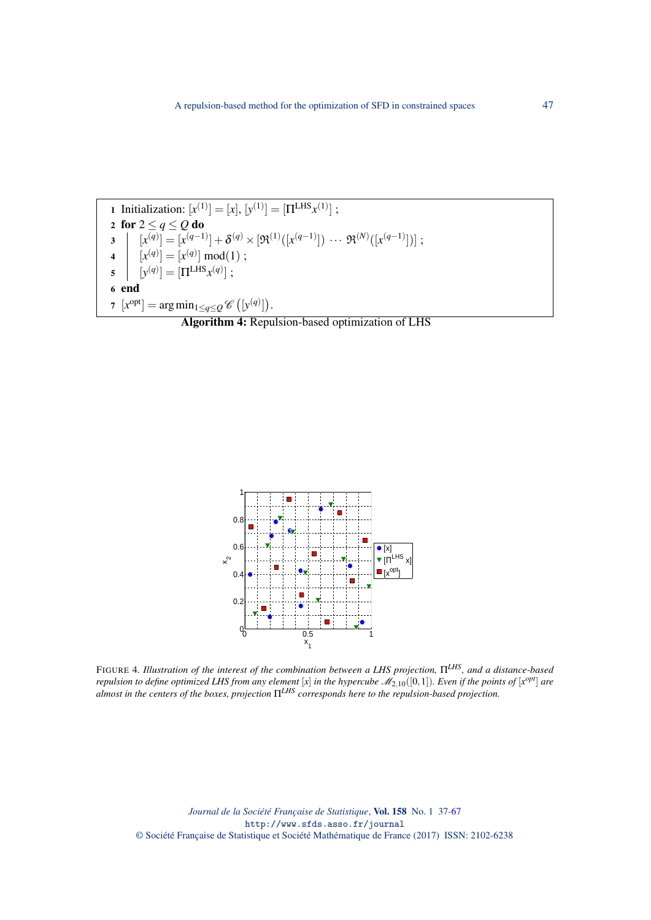<span id="page-10-1"></span>FIGURE 4*. Illustration of the interest of the combination between a LHS projection,* Π*LHS, and a distance-based repulsion to define optimized LHS from any element* [x] *in the hypercube*  $\mathscr{M}_{2,10}([0,1])$ *. Even if the points of* [ $x^{opt}$ ] are *almost in the centers of the boxes, projection* Π*LHS corresponds here to the repulsion-based projection.*



<span id="page-10-0"></span>Algorithm 4: Repulsion-based optimization of LHS

1 Initialization:  $[x^{(1)}] = [x], [y^{(1)}] = [\Pi^{\text{LHS}} x^{(1)}]$ ; 2 for  $2 \le q \le Q$  do  $\mathbf{3} \quad [x^{(q)}] = [x^{(q-1)}] + \boldsymbol{\delta}^{(q)} \times [\mathfrak{R}^{(1)}([x^{(q-1)}]) \; \cdots \; \mathfrak{R}^{(N)}([x^{(q-1)}])] \; ;$ 4  $[x^{(q)}] = [x^{(q)}] \mod (1)$ ;  $\mathfrak{s} \quad \left[ \quad [\mathrm{y}^{(q)}] = [\Pi^{\mathrm{LHS}} \mathrm{x}^{(q)}] \; ; \right.$ 6 end  $\tau$   $[x^{\text{opt}}] = \arg \min_{1 \leq q \leq Q} \mathscr{C}([y^{(q)}]).$ 

A repulsion-based method for the optimization of SFD in constrained spaces 47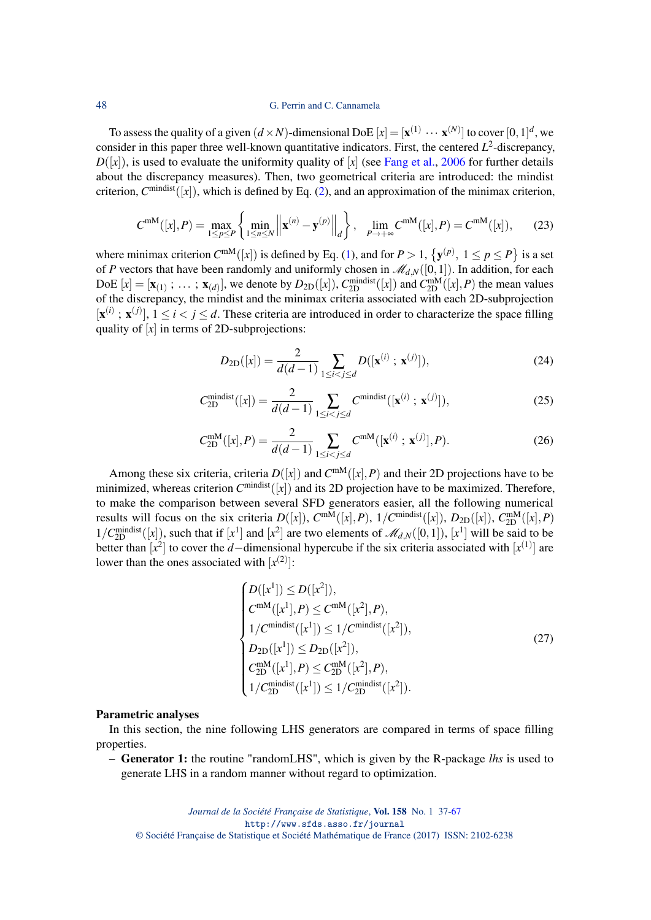#### 48 G. Perrin and C. Cannamela

To assess the quality of a given  $(d \times N)$ -dimensional DoE  $[x] = [\mathbf{x}^{(1)} \cdots \mathbf{x}^{(N)}]$  to cover  $[0,1]^d$ , we consider in this paper three well-known quantitative indicators. First, the centered  $L^2$ -discrepancy,  $D([x])$ , is used to evaluate the uniformity quality of [*x*] (see [Fang et al.,](#page-29-2) [2006](#page-29-2) for further details about the discrepancy measures). Then, two geometrical criteria are introduced: the mindist criterion, *C* mindist([*x*]), which is defined by Eq. [\(2\)](#page-1-0), and an approximation of the minimax criterion,

$$
C^{\text{mM}}([x], P) = \max_{1 \le p \le P} \left\{ \min_{1 \le n \le N} \left\| \mathbf{x}^{(n)} - \mathbf{y}^{(p)} \right\|_{d} \right\}, \quad \lim_{P \to +\infty} C^{\text{mM}}([x], P) = C^{\text{mM}}([x]), \tag{23}
$$

where minimax criterion  $C^{mM}([x])$  is defined by Eq. [\(1\)](#page-1-1), and for  $P > 1$ ,  $\{y^{(p)}, 1 \le p \le P\}$  is a set of *P* vectors that have been randomly and uniformly chosen in  $\mathcal{M}_{d,N}([0,1])$ . In addition, for each DoE  $[x] = [\mathbf{x}_{(1)}; \dots; \mathbf{x}_{(d)}]$ , we denote by  $D_{2D}([x])$ ,  $C_{2D}^{\text{mindist}}([x])$  and  $C_{2D}^{\text{mM}}([x], P)$  the mean values of the discrepancy, the mindist and the minimax criteria associated with each 2D-subprojection  $[\mathbf{x}^{(i)}; \mathbf{x}^{(j)}], 1 \le i < j \le d$ . These criteria are introduced in order to characterize the space filling quality of [*x*] in terms of 2D-subprojections:

$$
D_{2D}([x]) = \frac{2}{d(d-1)} \sum_{1 \le i < j \le d} D([x^{(i)} \; ; \; x^{(j)}]),\tag{24}
$$

$$
C_{2D}^{\text{mindist}}([x]) = \frac{2}{d(d-1)} \sum_{1 \le i < j \le d} C^{\text{mindist}}([x^{(i)} \; ; \; x^{(j)}]),\tag{25}
$$

$$
C_{2D}^{\text{mM}}([x], P) = \frac{2}{d(d-1)} \sum_{1 \le i < j \le d} C^{\text{mM}}([x^{(i)} \; ; \; x^{(j)}], P). \tag{26}
$$

Among these six criteria, criteria  $D([x])$  and  $C^{mM}([x], P)$  and their 2D projections have to be minimized, whereas criterion  $C^{\text{mindist}}([x])$  and its 2D projection have to be maximized. Therefore, to make the comparison between several SFD generators easier, all the following numerical results will focus on the six criteria  $D([x])$ ,  $C^{mM}([x], P)$ ,  $1/C^{mindist}([x])$ ,  $D_{2D}([x])$ ,  $C^{mM}_{2D}([x], P)$  $1/C_{2D}^{\text{mindist}}([x])$ , such that if  $[x^1]$  and  $[x^2]$  are two elements of  $\mathcal{M}_{d,N}([0,1])$ ,  $[x^1]$  will be said to be better than  $[x^2]$  to cover the *d*−dimensional hypercube if the six criteria associated with  $[x^{(1)}]$  are lower than the ones associated with  $[x^{(2)}]$ :

$$
\begin{cases}\nD([x^1]) \le D([x^2]), \\
C^{mM}([x^1], P) \le C^{mM}([x^2], P), \\
1/C^{mindist}([x^1]) \le 1/C^{mindist}([x^2]), \\
D_{2D}([x^1]) \le D_{2D}([x^2]), \\
C_{2D}^{mM}([x^1], P) \le C_{2D}^{mM}([x^2], P), \\
1/C_{2D}^{mindist}([x^1]) \le 1/C_{2D}^{mindist}([x^2]).\n\end{cases}
$$
\n(27)

#### Parametric analyses

In this section, the nine following LHS generators are compared in terms of space filling properties.

– Generator 1: the routine "randomLHS", which is given by the R-package *lhs* is used to generate LHS in a random manner without regard to optimization.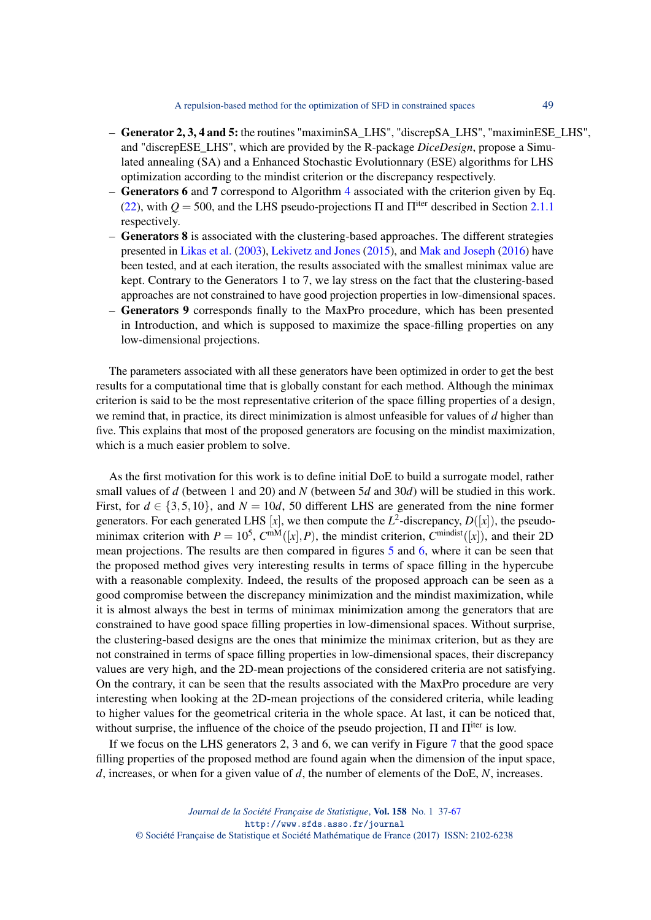- Generator 2, 3, 4 and 5: the routines "maximinSA\_LHS", "discrepSA\_LHS", "maximinESE\_LHS", and "discrepESE\_LHS", which are provided by the R-package *DiceDesign*, propose a Simulated annealing (SA) and a Enhanced Stochastic Evolutionnary (ESE) algorithms for LHS optimization according to the mindist criterion or the discrepancy respectively.
- Generators 6 and 7 correspond to Algorithm [4](#page-10-0) associated with the criterion given by Eq. [\(22\)](#page-9-1), with  $Q = 500$ , and the LHS pseudo-projections  $\Pi$  and  $\Pi^{\text{iter}}$  described in Section [2.1.1](#page-4-0) respectively.
- Generators 8 is associated with the clustering-based approaches. The different strategies presented in [Likas et al.](#page-30-23) [\(2003\)](#page-30-23), [Lekivetz and Jones](#page-30-20) [\(2015\)](#page-30-20), and [Mak and Joseph](#page-30-21) [\(2016\)](#page-30-21) have been tested, and at each iteration, the results associated with the smallest minimax value are kept. Contrary to the Generators 1 to 7, we lay stress on the fact that the clustering-based approaches are not constrained to have good projection properties in low-dimensional spaces.
- Generators 9 corresponds finally to the MaxPro procedure, which has been presented in Introduction, and which is supposed to maximize the space-filling properties on any low-dimensional projections.

The parameters associated with all these generators have been optimized in order to get the best results for a computational time that is globally constant for each method. Although the minimax criterion is said to be the most representative criterion of the space filling properties of a design, we remind that, in practice, its direct minimization is almost unfeasible for values of *d* higher than five. This explains that most of the proposed generators are focusing on the mindist maximization, which is a much easier problem to solve.

As the first motivation for this work is to define initial DoE to build a surrogate model, rather small values of *d* (between 1 and 20) and *N* (between 5*d* and 30*d*) will be studied in this work. First, for  $d \in \{3, 5, 10\}$ , and  $N = 10d$ , 50 different LHS are generated from the nine former generators. For each generated LHS [x], we then compute the  $L^2$ -discrepancy,  $D([x])$ , the pseudominimax criterion with  $P = 10^5$ ,  $C^{mM}([x], P)$ , the mindist criterion,  $C^{mindist}([x])$ , and their 2D mean projections. The results are then compared in figures [5](#page-13-0) and [6,](#page-14-0) where it can be seen that the proposed method gives very interesting results in terms of space filling in the hypercube with a reasonable complexity. Indeed, the results of the proposed approach can be seen as a good compromise between the discrepancy minimization and the mindist maximization, while it is almost always the best in terms of minimax minimization among the generators that are constrained to have good space filling properties in low-dimensional spaces. Without surprise, the clustering-based designs are the ones that minimize the minimax criterion, but as they are not constrained in terms of space filling properties in low-dimensional spaces, their discrepancy values are very high, and the 2D-mean projections of the considered criteria are not satisfying. On the contrary, it can be seen that the results associated with the MaxPro procedure are very interesting when looking at the 2D-mean projections of the considered criteria, while leading to higher values for the geometrical criteria in the whole space. At last, it can be noticed that, without surprise, the influence of the choice of the pseudo projection,  $\Pi$  and  $\Pi^{\text{iter}}$  is low.

If we focus on the LHS generators 2, 3 and 6, we can verify in Figure [7](#page-15-0) that the good space filling properties of the proposed method are found again when the dimension of the input space, *d*, increases, or when for a given value of *d*, the number of elements of the DoE, *N*, increases.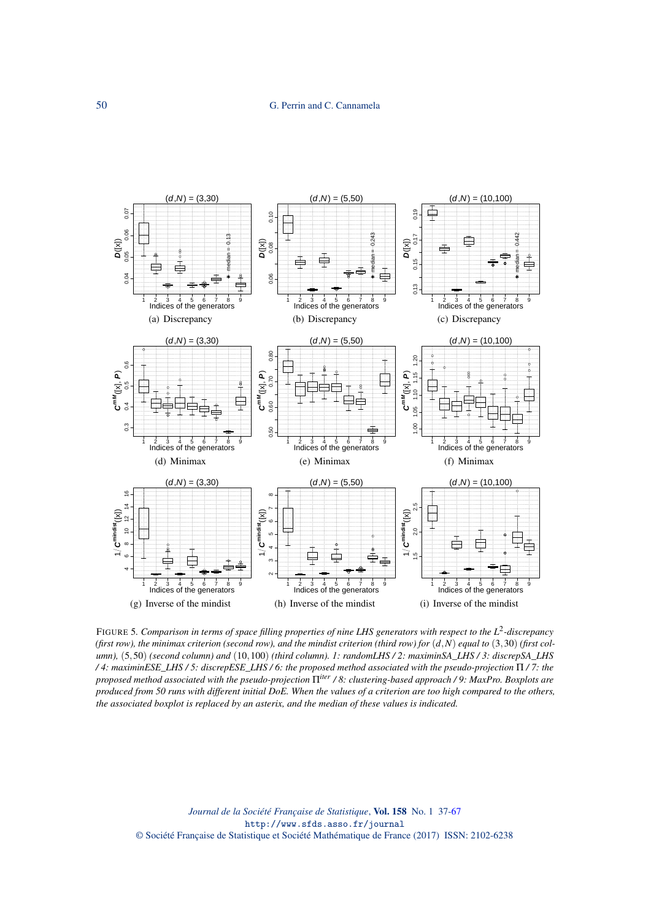

<span id="page-13-0"></span>FIGURE 5. Comparison in terms of space filling properties of nine LHS generators with respect to the L<sup>2</sup>-discrepancy (first row), the minimax criterion (second row), and the mindist criterion (third row) for  $(d, N)$  equal to  $(3, 30)$  (first col*umn),* (5,50) *(second column) and* (10,100) *(third column). 1: randomLHS / 2: maximinSA\_LHS / 3: discrepSA\_LHS / 4: maximinESE\_LHS / 5: discrepESE\_LHS / 6: the proposed method associated with the pseudo-projection* Π */ 7: the proposed method associated with the pseudo-projection* Π*iter / 8: clustering-based approach / 9: MaxPro. Boxplots are produced from 50 runs with different initial DoE. When the values of a criterion are too high compared to the others, the associated boxplot is replaced by an asterix, and the median of these values is indicated.*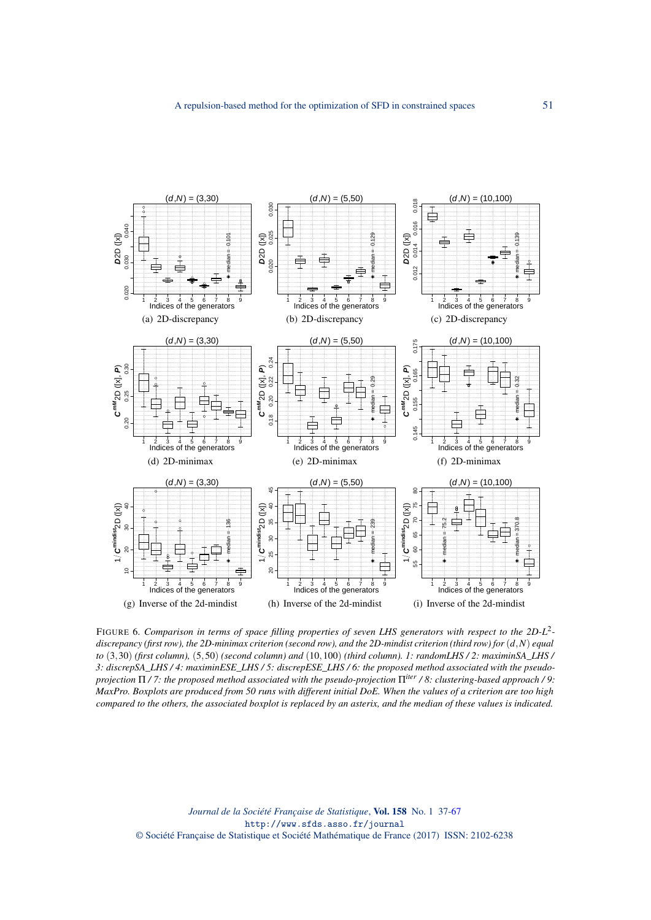

<span id="page-14-0"></span>FIGURE 6. Comparison in terms of space filling properties of seven LHS generators with respect to the 2D-L<sup>2</sup>*discrepancy (first row), the 2D-minimax criterion (second row), and the 2D-mindist criterion (third row) for* (*d*,*N*) *equal to* (3,30) *(first column),* (5,50) *(second column) and* (10,100) *(third column). 1: randomLHS / 2: maximinSA\_LHS / 3: discrepSA\_LHS / 4: maximinESE\_LHS / 5: discrepESE\_LHS / 6: the proposed method associated with the pseudoprojection* Π */ 7: the proposed method associated with the pseudo-projection* Π*iter / 8: clustering-based approach / 9: MaxPro. Boxplots are produced from 50 runs with different initial DoE. When the values of a criterion are too high compared to the others, the associated boxplot is replaced by an asterix, and the median of these values is indicated.*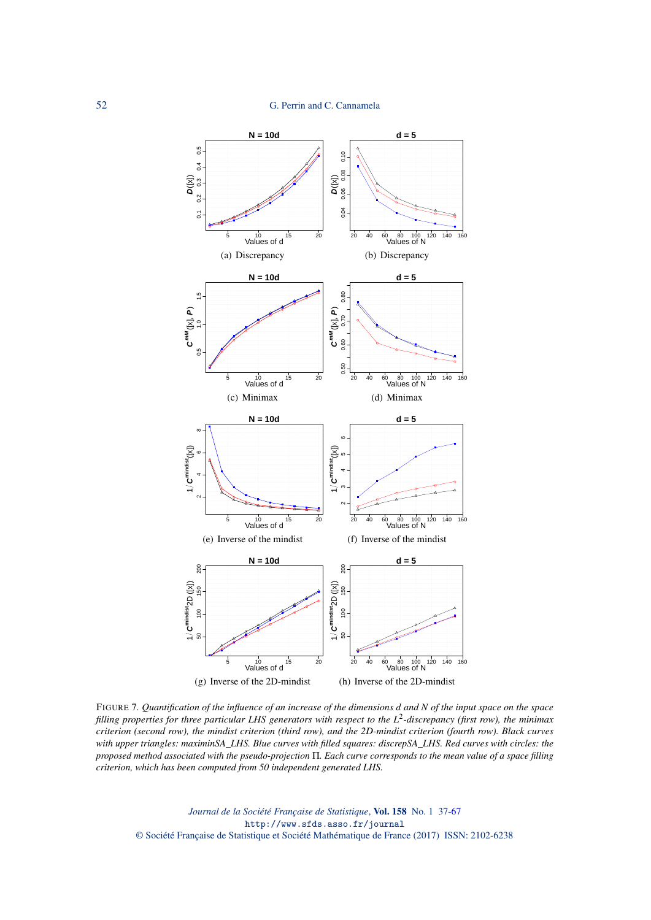

<span id="page-15-0"></span>FIGURE 7*. Quantification of the influence of an increase of the dimensions d and N of the input space on the space filling properties for three particular LHS generators with respect to the L* 2 *-discrepancy (first row), the minimax criterion (second row), the mindist criterion (third row), and the 2D-mindist criterion (fourth row). Black curves with upper triangles: maximinSA\_LHS. Blue curves with filled squares: discrepSA\_LHS. Red curves with circles: the proposed method associated with the pseudo-projection* Π*. Each curve corresponds to the mean value of a space filling criterion, which has been computed from 50 independent generated LHS.*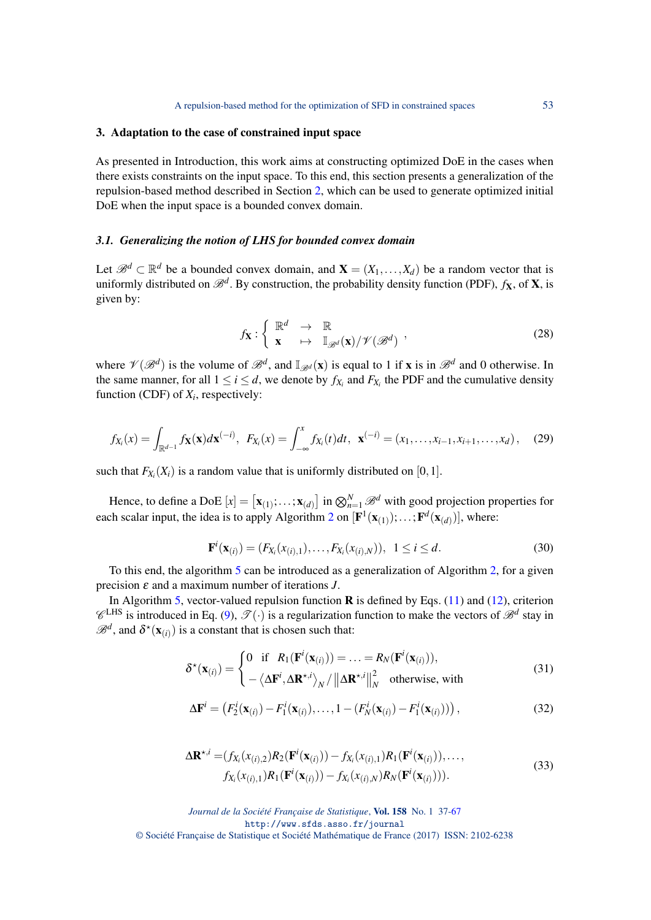#### <span id="page-16-1"></span>3. Adaptation to the case of constrained input space

As presented in Introduction, this work aims at constructing optimized DoE in the cases when there exists constraints on the input space. To this end, this section presents a generalization of the repulsion-based method described in Section [2,](#page-3-0) which can be used to generate optimized initial DoE when the input space is a bounded convex domain.

## *3.1. Generalizing the notion of LHS for bounded convex domain*

Let  $\mathcal{B}^d \subset \mathbb{R}^d$  be a bounded convex domain, and  $\mathbf{X} = (X_1, \ldots, X_d)$  be a random vector that is uniformly distributed on  $\mathscr{B}^d$ . By construction, the probability density function (PDF),  $f_\mathbf{X}$ , of  $\mathbf{X}$ , is given by:

$$
f_{\mathbf{X}}: \left\{ \begin{array}{ccc} \mathbb{R}^d & \to & \mathbb{R} \\ \mathbf{x} & \mapsto & \mathbb{I}_{\mathscr{B}^d}(\mathbf{x})/\mathscr{V}(\mathscr{B}^d) \end{array} \right. \tag{28}
$$

where  $\mathcal{V}(\mathcal{B}^d)$  is the volume of  $\mathcal{B}^d$ , and  $\mathbb{I}_{\mathcal{B}^d}(\mathbf{x})$  is equal to 1 if **x** is in  $\mathcal{B}^d$  and 0 otherwise. In the same manner, for all  $1 \le i \le d$ , we denote by  $f_{X_i}$  and  $F_{X_i}$  the PDF and the cumulative density function (CDF) of  $X_i$ , respectively:

$$
f_{X_i}(x) = \int_{\mathbb{R}^{d-1}} f_{\mathbf{X}}(\mathbf{x}) d\mathbf{x}^{(-i)}, \ \ F_{X_i}(x) = \int_{-\infty}^x f_{X_i}(t) dt, \ \ \mathbf{x}^{(-i)} = (x_1, \dots, x_{i-1}, x_{i+1}, \dots, x_d), \tag{29}
$$

such that  $F_{X_i}(X_i)$  is a random value that is uniformly distributed on [0, 1].

Hence, to define a DoE  $[x] = [\mathbf{x}_{(1)}; \dots; \mathbf{x}_{(d)}]$  in  $\bigotimes_{n=1}^{N} \mathscr{B}^d$  with good projection properties for each scalar input, the idea is to apply Algorithm [2](#page-7-0) on  $[\mathbf{F}^1(\mathbf{x}_{(1)});...;\mathbf{F}^d(\mathbf{x}_{(d)})]$ , where:

<span id="page-16-0"></span>
$$
\mathbf{F}^{i}(\mathbf{x}_{(i)}) = (F_{X_i}(x_{(i),1}), \dots, F_{X_i}(x_{(i),N})), \ \ 1 \leq i \leq d. \tag{30}
$$

To this end, the algorithm [5](#page-17-0) can be introduced as a generalization of Algorithm [2,](#page-7-0) for a given precision ε and a maximum number of iterations *J*.

In Algorithm [5,](#page-17-0) vector-valued repulsion function  $\bf{R}$  is defined by Eqs. [\(11\)](#page-5-2) and [\(12\)](#page-5-1), criterion  $\mathscr{C}^{\text{LHS}}$  is introduced in Eq. [\(9\)](#page-4-1),  $\mathscr{T}(\cdot)$  is a regularization function to make the vectors of  $\mathscr{B}^d$  stay in  $\mathscr{B}^d$ , and  $\delta^*(\mathbf{x}_{(i)})$  is a constant that is chosen such that:

$$
\delta^{\star}(\mathbf{x}_{(i)}) = \begin{cases} 0 & \text{if } R_1(\mathbf{F}^i(\mathbf{x}_{(i)})) = \dots = R_N(\mathbf{F}^i(\mathbf{x}_{(i)})), \\ -\langle \Delta \mathbf{F}^i, \Delta \mathbf{R}^{\star, i} \rangle_N / ||\Delta \mathbf{R}^{\star, i}||_N^2 & \text{otherwise, with} \end{cases}
$$
(31)

$$
\Delta \mathbf{F}^{i} = (F_{2}^{i}(\mathbf{x}_{(i)}) - F_{1}^{i}(\mathbf{x}_{(i)}), \dots, 1 - (F_{N}^{i}(\mathbf{x}_{(i)}) - F_{1}^{i}(\mathbf{x}_{(i)})))
$$
\n(32)

$$
\Delta \mathbf{R}^{\star,i} = (f_{X_i}(x_{(i),2})R_2(\mathbf{F}^i(\mathbf{x}_{(i)})) - f_{X_i}(x_{(i),1})R_1(\mathbf{F}^i(\mathbf{x}_{(i)})),..., f_{X_i}(x_{(i),1})R_1(\mathbf{F}^i(\mathbf{x}_{(i)})) - f_{X_i}(x_{(i),N})R_N(\mathbf{F}^i(\mathbf{x}_{(i)}))).
$$
\n(33)

*Journal de la Société Française de Statistique*, Vol. 158 No. 1 37[-67](#page-30-0)

http://www.sfds.asso.fr/journal

© Société Française de Statistique et Société Mathématique de France (2017) ISSN: 2102-6238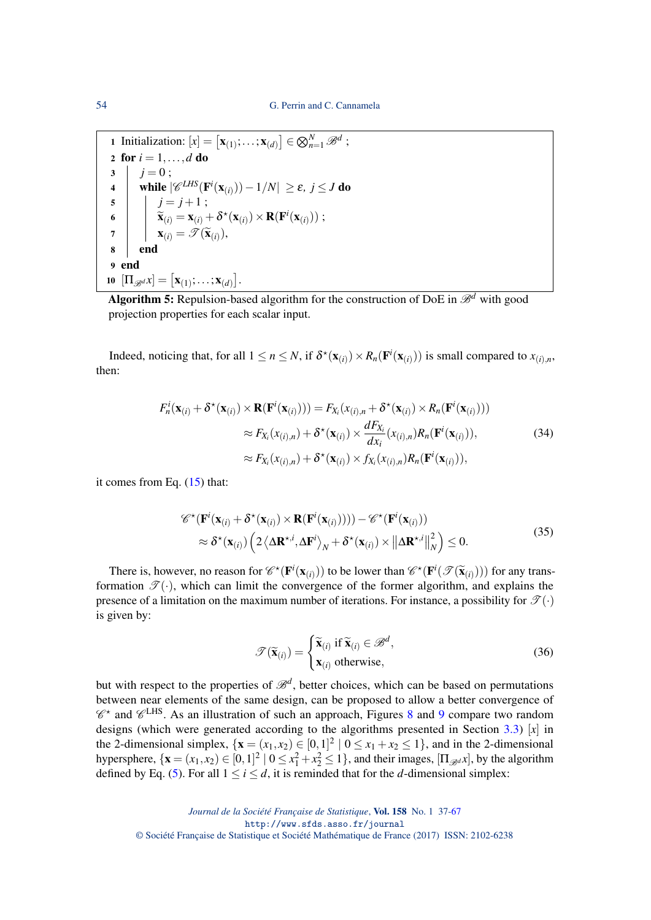**1** Initialization:  $[x] = [\mathbf{x}_{(1)}; \dots; \mathbf{x}_{(d)}] \in \bigotimes_{n=1}^{N} \mathscr{B}^{d}$ ; 2 for  $i = 1, ..., d$  do  $3 | j = 0;$ 4 │ while  $|\mathscr{C}^{LHS}(\mathbf{F}^i(\mathbf{x}_{(i)}))-1/N| \geq ε$ ,  $j \leq J$  do  $5 \mid j = j + 1;$  $\begin{array}{c|c} \mathbf{G} & \mathbf{K}(i) = \mathbf{X}(i) + \mathbf{\delta}^{\star}(\mathbf{X}(i)) \times \mathbf{R}(\mathbf{F}^i(\mathbf{X}(i))) \; ; \ \mathbf{K}(i) & \mathbf{K}(i) & \mathbf{K}(i) \end{array}$  $\mathbf{y} = \begin{cases} \mathbf{x}_{(i)} = \mathcal{T}(\widetilde{\mathbf{x}}_{(i)}), \end{cases}$ 8 end 9 end  $\textbf{10} \ \left[\Pi_{\mathscr{B}^d} x\right] = \left[\textbf{x}_{(1)} ; \ldots ; \textbf{x}_{(d)}\right].$ 

<span id="page-17-0"></span>Algorithm 5: Repulsion-based algorithm for the construction of DoE in  $\mathcal{B}^d$  with good projection properties for each scalar input.

Indeed, noticing that, for all  $1 \le n \le N$ , if  $\delta^*(\mathbf{x}_{(i)}) \times R_n(\mathbf{F}^i(\mathbf{x}_{(i)}))$  is small compared to  $x_{(i),n}$ , then:

$$
F_n^i(\mathbf{x}_{(i)} + \delta^*(\mathbf{x}_{(i)}) \times \mathbf{R}(\mathbf{F}^i(\mathbf{x}_{(i)}))) = F_{X_i}(x_{(i),n} + \delta^*(\mathbf{x}_{(i)}) \times R_n(\mathbf{F}^i(\mathbf{x}_{(i)})))
$$
  
\n
$$
\approx F_{X_i}(x_{(i),n}) + \delta^*(\mathbf{x}_{(i)}) \times \frac{dF_{X_i}}{dx_i}(x_{(i),n})R_n(\mathbf{F}^i(\mathbf{x}_{(i)})),
$$
\n
$$
\approx F_{X_i}(x_{(i),n}) + \delta^*(\mathbf{x}_{(i)}) \times f_{X_i}(x_{(i),n})R_n(\mathbf{F}^i(\mathbf{x}_{(i)})),
$$
\n(34)

it comes from Eq. [\(15\)](#page-5-3) that:

$$
\mathscr{C}^{\star}(\mathbf{F}^{i}(\mathbf{x}_{(i)} + \delta^{\star}(\mathbf{x}_{(i)}) \times \mathbf{R}(\mathbf{F}^{i}(\mathbf{x}_{(i)})))) - \mathscr{C}^{\star}(\mathbf{F}^{i}(\mathbf{x}_{(i)}))
$$
  
\n
$$
\approx \delta^{\star}(\mathbf{x}_{(i)}) \left( 2 \left\langle \Delta \mathbf{R}^{\star, i}, \Delta \mathbf{F}^{i} \right\rangle_{N} + \delta^{\star}(\mathbf{x}_{(i)}) \times \left\| \Delta \mathbf{R}^{\star, i} \right\|_{N}^{2} \right) \leq 0.
$$
\n(35)

There is, however, no reason for  $\mathscr{C}^*(\mathbf{F}^i(\mathbf{x}_{(i)}))$  to be lower than  $\mathscr{C}^*(\mathbf{F}^i(\mathcal{F}(\tilde{\mathbf{x}}_{(i)})))$  for any transformation  $\mathcal{T}(\cdot)$ , which can limit the convergence of the former algorithm, and explains the presence of a limitation on the maximum number of iterations. For instance, a possibility for  $\mathcal{T}(\cdot)$ is given by:

$$
\mathcal{T}(\widetilde{\mathbf{x}}_{(i)}) = \begin{cases} \widetilde{\mathbf{x}}_{(i)} \text{ if } \widetilde{\mathbf{x}}_{(i)} \in \mathcal{B}^d, \\ \mathbf{x}_{(i)} \text{ otherwise,} \end{cases}
$$
(36)

but with respect to the properties of  $\mathcal{B}^d$ , better choices, which can be based on permutations between near elements of the same design, can be proposed to allow a better convergence of  $\mathscr{C}^{\star}$  and  $\mathscr{C}^{\text{LHS}}$ . As an illustration of such an approach, Figures [8](#page-18-0) and [9](#page-18-1) compare two random designs (which were generated according to the algorithms presented in Section [3.3\)](#page-19-0)  $[x]$  in the 2-dimensional simplex,  $\{x = (x_1, x_2) \in [0, 1]^2 \mid 0 \le x_1 + x_2 \le 1\}$ , and in the 2-dimensional hypersphere,  $\{ \mathbf{x} = (x_1, x_2) \in [0, 1]^2 \mid 0 \le x_1^2 + x_2^2 \le 1 \}$ , and their images,  $[\Pi_{\mathscr{B}^d} x]$ , by the algorithm defined by Eq. [\(5\)](#page-17-0). For all  $1 \le i \le d$ , it is reminded that for the *d*-dimensional simplex: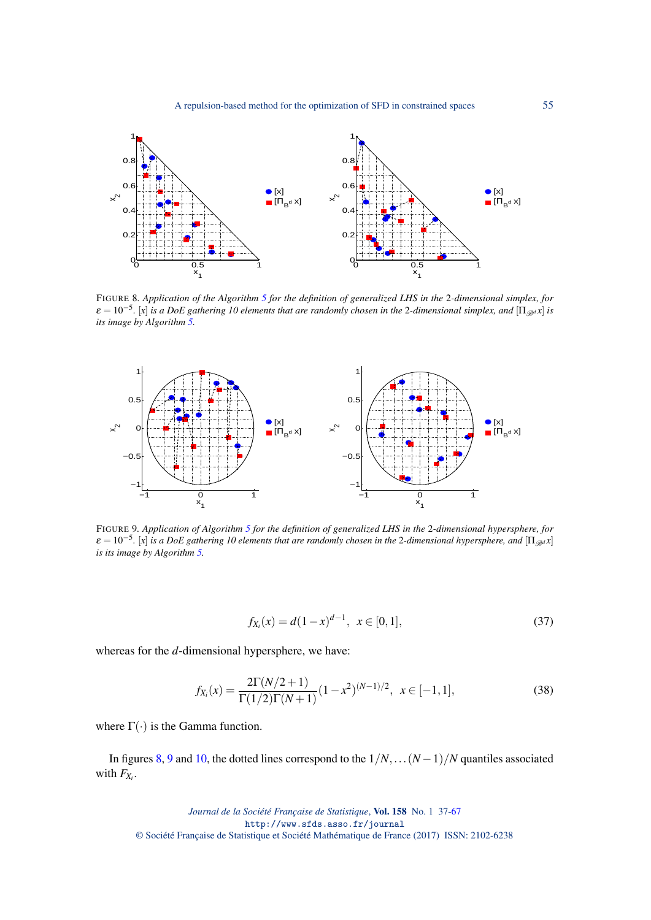

<span id="page-18-0"></span>FIGURE 8*. Application of the Algorithm [5](#page-17-0) for the definition of generalized LHS in the* 2*-dimensional simplex, for ε* = 10<sup>-5</sup>. [x] *is a DoE gathering 10 elements that are randomly chosen in the 2-dimensional simplex, and* [Π<sub>*Bd*</sub> *x*] *is its image by Algorithm [5.](#page-17-0)*



<span id="page-18-1"></span>FIGURE 9*. Application of Algorithm [5](#page-17-0) for the definition of generalized LHS in the* 2*-dimensional hypersphere, for*  $\varepsilon = 10^{-5}$ . [x] is a DoE gathering 10 elements that are randomly chosen in the 2-dimensional hypersphere, and  $[\Pi_{\mathscr{B}^d} x]$ *is its image by Algorithm [5.](#page-17-0)*

$$
f_{X_i}(x) = d(1-x)^{d-1}, \ \ x \in [0,1], \tag{37}
$$

whereas for the *d*-dimensional hypersphere, we have:

$$
f_{X_i}(x) = \frac{2\Gamma(N/2+1)}{\Gamma(1/2)\Gamma(N+1)} (1-x^2)^{(N-1)/2}, \ \ x \in [-1,1],
$$
\n(38)

where  $\Gamma(\cdot)$  is the Gamma function.

In figures [8,](#page-18-0) [9](#page-18-1) and [10,](#page-19-1) the dotted lines correspond to the  $1/N$ ,... $(N-1)/N$  quantiles associated with  $F_{X_i}$ .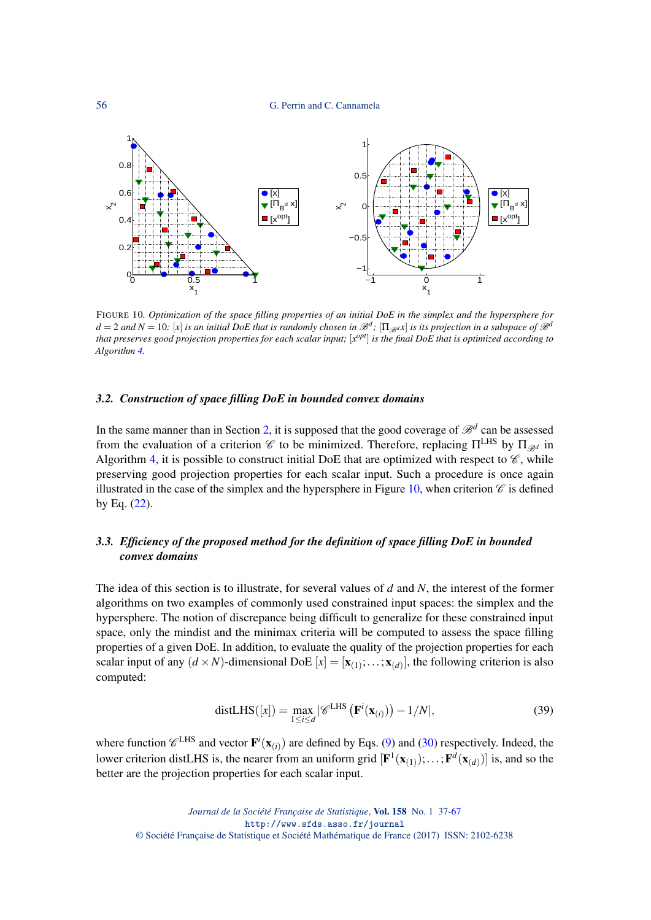56 G. Perrin and C. Cannamela



<span id="page-19-1"></span>FIGURE 10*. Optimization of the space filling properties of an initial DoE in the simplex and the hypersphere for*  $d = 2$  and  $N = 10$ : [x] *is an initial DoE that is randomly chosen in*  $\mathscr{B}^d$ ; [ $\Pi_{\mathscr{B}^d}$ *x*] *is its projection in a subspace of*  $\mathscr{B}^d$ that preserves good projection properties for each scalar input; [x<sup>opt</sup>] is the final DoE that is optimized according to *Algorithm [4.](#page-10-0)*

#### *3.2. Construction of space filling DoE in bounded convex domains*

In the same manner than in Section [2,](#page-3-0) it is supposed that the good coverage of  $\mathcal{B}^d$  can be assessed from the evaluation of a criterion  $\mathscr C$  to be minimized. Therefore, replacing  $\Pi^{\rm LHS}$  by  $\Pi_{\mathscr{B}^d}$  in Algorithm [4,](#page-10-0) it is possible to construct initial DoE that are optimized with respect to  $\mathscr{C}$ , while preserving good projection properties for each scalar input. Such a procedure is once again illustrated in the case of the simplex and the hypersphere in Figure [10,](#page-19-1) when criterion  $\mathscr C$  is defined by Eq. [\(22\)](#page-9-1).

## <span id="page-19-0"></span>*3.3. Efficiency of the proposed method for the definition of space filling DoE in bounded convex domains*

The idea of this section is to illustrate, for several values of *d* and *N*, the interest of the former algorithms on two examples of commonly used constrained input spaces: the simplex and the hypersphere. The notion of discrepance being difficult to generalize for these constrained input space, only the mindist and the minimax criteria will be computed to assess the space filling properties of a given DoE. In addition, to evaluate the quality of the projection properties for each scalar input of any  $(d \times N)$ -dimensional DoE  $[x] = [\mathbf{x}_{(1)}; \dots; \mathbf{x}_{(d)}]$ , the following criterion is also computed:

$$
\text{distLHS}([x]) = \max_{1 \le i \le d} |\mathscr{C}^{\text{LHS}}\left(\mathbf{F}^i(\mathbf{x}_{(i)})\right) - 1/N|,\tag{39}
$$

where function  $\mathcal{C}^{\text{LHS}}$  and vector  $\mathbf{F}^i(\mathbf{x}_{(i)})$  are defined by Eqs. [\(9\)](#page-4-1) and [\(30\)](#page-16-0) respectively. Indeed, the lower criterion distLHS is, the nearer from an uniform grid  $[\mathbf{F}^1(\mathbf{x}_{(1)});...;\mathbf{F}^d(\mathbf{x}_{(d)})]$  is, and so the better are the projection properties for each scalar input.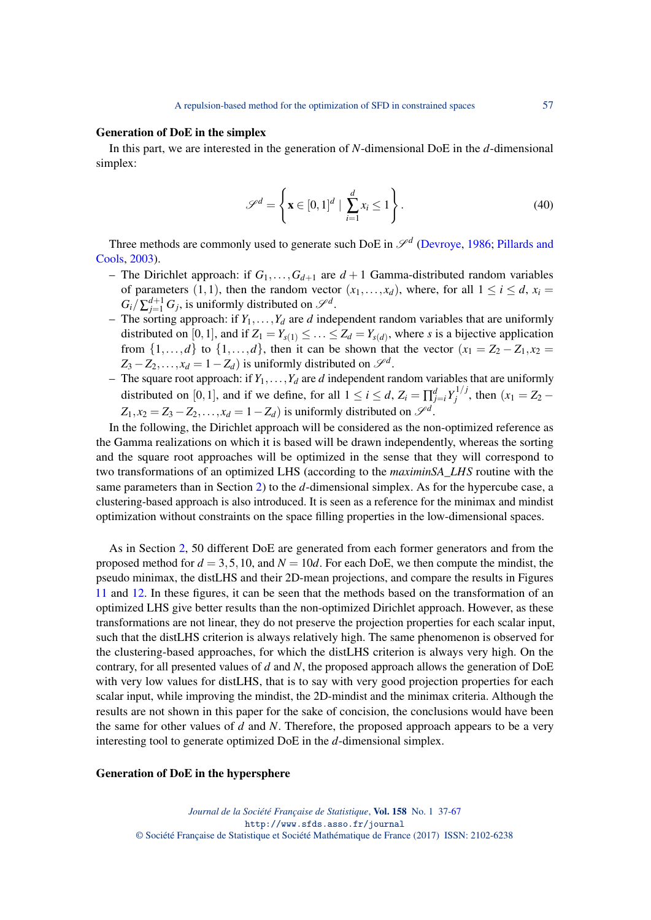#### Generation of DoE in the simplex

In this part, we are interested in the generation of *N*-dimensional DoE in the *d*-dimensional simplex:

$$
\mathscr{S}^d = \left\{ \mathbf{x} \in [0,1]^d \mid \sum_{i=1}^d x_i \le 1 \right\}.
$$
 (40)

Three methods are commonly used to generate such DoE in  $\mathscr{S}^d$  [\(Devroye,](#page-29-8) [1986;](#page-29-8) [Pillards and](#page-30-24) [Cools,](#page-30-24) [2003\)](#page-30-24).

- The Dirichlet approach: if  $G_1, \ldots, G_{d+1}$  are  $d+1$  Gamma-distributed random variables of parameters (1,1), then the random vector  $(x_1,...,x_d)$ , where, for all  $1 \le i \le d$ ,  $x_i =$  $G_i/\sum_{j=1}^{d+1} G_j$ , is uniformly distributed on  $\mathscr{S}^d$ .
- The sorting approach: if  $Y_1, \ldots, Y_d$  are *d* independent random variables that are uniformly distributed on [0,1], and if  $Z_1 = Y_{s(1)} \leq \ldots \leq Z_d = Y_{s(d)}$ , where *s* is a bijective application from  $\{1,\ldots,d\}$  to  $\{1,\ldots,d\}$ , then it can be shown that the vector  $(x_1 = Z_2 - Z_1, x_2 =$  $Z_3 - Z_2, \ldots, x_d = 1 - Z_d$ ) is uniformly distributed on  $\mathscr{S}^d$ .
- The square root approach: if  $Y_1, \ldots, Y_d$  are *d* independent random variables that are uniformly distributed on [0,1], and if we define, for all  $1 \le i \le d$ ,  $Z_i = \prod_{j=i}^d Y_j^{1/j}$  $j^{(1)}$ , then  $(x_1 = Z_2 Z_1, x_2 = Z_3 - Z_2, \ldots, x_d = 1 - Z_d$ ) is uniformly distributed on  $\mathscr{S}^d$ .

In the following, the Dirichlet approach will be considered as the non-optimized reference as the Gamma realizations on which it is based will be drawn independently, whereas the sorting and the square root approaches will be optimized in the sense that they will correspond to two transformations of an optimized LHS (according to the *maximinSA*\_*LHS* routine with the same parameters than in Section [2\)](#page-3-0) to the *d*-dimensional simplex. As for the hypercube case, a clustering-based approach is also introduced. It is seen as a reference for the minimax and mindist optimization without constraints on the space filling properties in the low-dimensional spaces.

As in Section [2,](#page-3-0) 50 different DoE are generated from each former generators and from the proposed method for  $d = 3, 5, 10$ , and  $N = 10d$ . For each DoE, we then compute the mindist, the pseudo minimax, the distLHS and their 2D-mean projections, and compare the results in Figures [11](#page-21-0) and [12.](#page-22-0) In these figures, it can be seen that the methods based on the transformation of an optimized LHS give better results than the non-optimized Dirichlet approach. However, as these transformations are not linear, they do not preserve the projection properties for each scalar input, such that the distLHS criterion is always relatively high. The same phenomenon is observed for the clustering-based approaches, for which the distLHS criterion is always very high. On the contrary, for all presented values of *d* and *N*, the proposed approach allows the generation of DoE with very low values for distLHS, that is to say with very good projection properties for each scalar input, while improving the mindist, the 2D-mindist and the minimax criteria. Although the results are not shown in this paper for the sake of concision, the conclusions would have been the same for other values of *d* and *N*. Therefore, the proposed approach appears to be a very interesting tool to generate optimized DoE in the *d*-dimensional simplex.

#### Generation of DoE in the hypersphere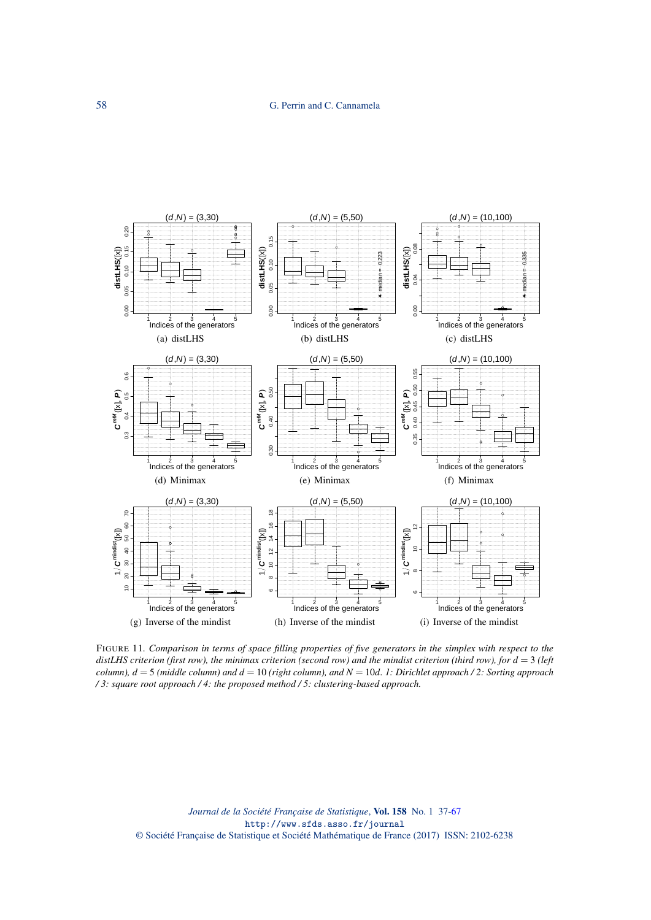

<span id="page-21-0"></span>FIGURE 11*. Comparison in terms of space filling properties of five generators in the simplex with respect to the distLHS criterion (first row), the minimax criterion (second row) and the mindist criterion (third row), for d* = 3 *(left column), d* = 5 *(middle column) and d* = 10 *(right column), and N* = 10*d. 1: Dirichlet approach / 2: Sorting approach / 3: square root approach / 4: the proposed method / 5: clustering-based approach.*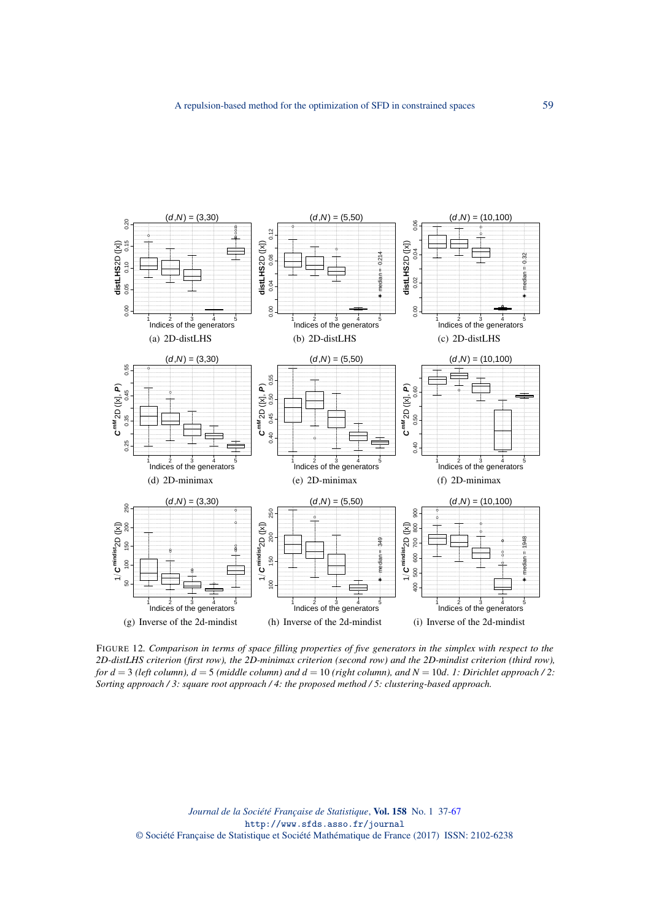

<span id="page-22-0"></span>FIGURE 12*. Comparison in terms of space filling properties of five generators in the simplex with respect to the 2D-distLHS criterion (first row), the 2D-minimax criterion (second row) and the 2D-mindist criterion (third row), for d* = 3 *(left column), d* = 5 *(middle column) and d* = 10 *(right column), and N* = 10*d. 1: Dirichlet approach / 2: Sorting approach / 3: square root approach / 4: the proposed method / 5: clustering-based approach.*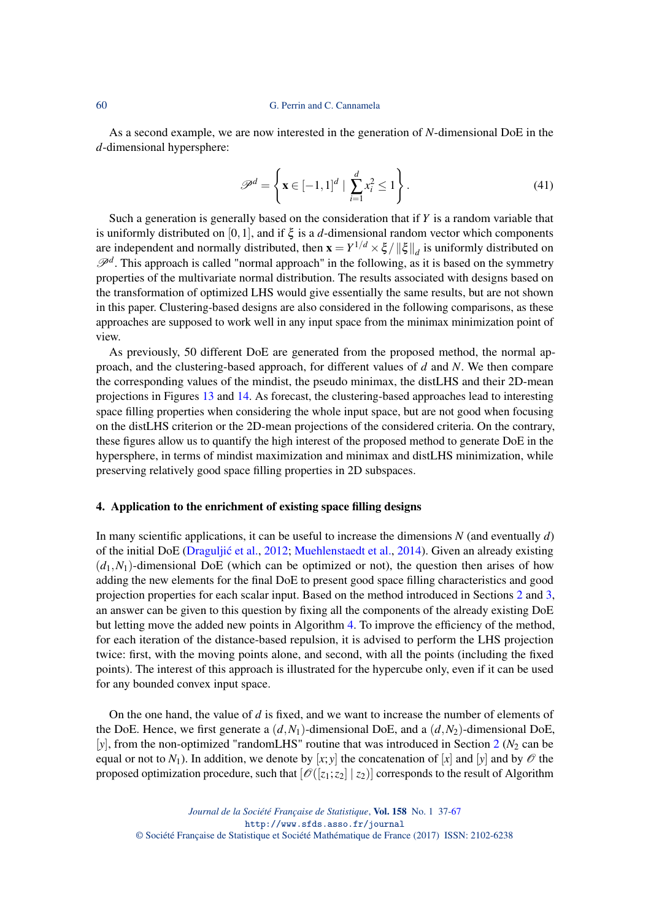#### 60 G. Perrin and C. Cannamela

As a second example, we are now interested in the generation of *N*-dimensional DoE in the *d*-dimensional hypersphere:

$$
\mathcal{P}^d = \left\{ \mathbf{x} \in [-1, 1]^d \mid \sum_{i=1}^d x_i^2 \le 1 \right\}.
$$
\n(41)

Such a generation is generally based on the consideration that if *Y* is a random variable that is uniformly distributed on [0,1], and if ξ is a *d*-dimensional random vector which components are independent and normally distributed, then  $\mathbf{x} = Y^{1/d} \times \xi / \|\xi\|_d$  is uniformly distributed on  $\mathscr{P}^d$ . This approach is called "normal approach" in the following, as it is based on the symmetry properties of the multivariate normal distribution. The results associated with designs based on the transformation of optimized LHS would give essentially the same results, but are not shown in this paper. Clustering-based designs are also considered in the following comparisons, as these approaches are supposed to work well in any input space from the minimax minimization point of view.

As previously, 50 different DoE are generated from the proposed method, the normal approach, and the clustering-based approach, for different values of *d* and *N*. We then compare the corresponding values of the mindist, the pseudo minimax, the distLHS and their 2D-mean projections in Figures [13](#page-24-0) and [14.](#page-25-0) As forecast, the clustering-based approaches lead to interesting space filling properties when considering the whole input space, but are not good when focusing on the distLHS criterion or the 2D-mean projections of the considered criteria. On the contrary, these figures allow us to quantify the high interest of the proposed method to generate DoE in the hypersphere, in terms of mindist maximization and minimax and distLHS minimization, while preserving relatively good space filling properties in 2D subspaces.

## 4. Application to the enrichment of existing space filling designs

In many scientific applications, it can be useful to increase the dimensions *N* (and eventually *d*) of the initial DoE [\(Draguljic et al.](#page-29-4), [2012;](#page-29-4) [Muehlenstaedt et al.,](#page-30-25) [2014\)](#page-30-25). Given an already existing  $(d_1, N_1)$ -dimensional DoE (which can be optimized or not), the question then arises of how adding the new elements for the final DoE to present good space filling characteristics and good projection properties for each scalar input. Based on the method introduced in Sections [2](#page-3-0) and [3,](#page-16-1) an answer can be given to this question by fixing all the components of the already existing DoE but letting move the added new points in Algorithm [4.](#page-10-0) To improve the efficiency of the method, for each iteration of the distance-based repulsion, it is advised to perform the LHS projection twice: first, with the moving points alone, and second, with all the points (including the fixed points). The interest of this approach is illustrated for the hypercube only, even if it can be used for any bounded convex input space.

On the one hand, the value of *d* is fixed, and we want to increase the number of elements of the DoE. Hence, we first generate a  $(d, N_1)$ -dimensional DoE, and a  $(d, N_2)$ -dimensional DoE,  $[y]$ , from the non-optimized "randomLHS" routine that was introduced in Section [2](#page-3-0) ( $N_2$  can be equal or not to  $N_1$ ). In addition, we denote by [x; y] the concatenation of [x] and [y] and by  $\mathcal O$  the proposed optimization procedure, such that  $\lbrack \mathcal{O}([z_1; z_2] \mid z_2) \rbrack$  corresponds to the result of Algorithm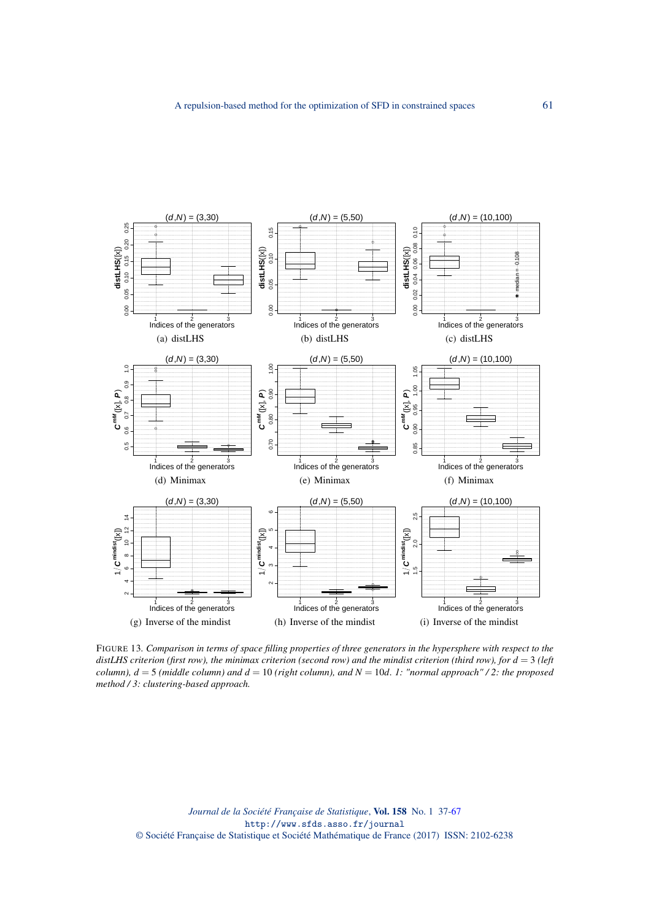

<span id="page-24-0"></span>FIGURE 13*. Comparison in terms of space filling properties of three generators in the hypersphere with respect to the distLHS criterion (first row), the minimax criterion (second row) and the mindist criterion (third row), for d* = 3 *(left column), d* = 5 *(middle column) and d* = 10 *(right column), and N* = 10*d. 1: "normal approach" / 2: the proposed method / 3: clustering-based approach.*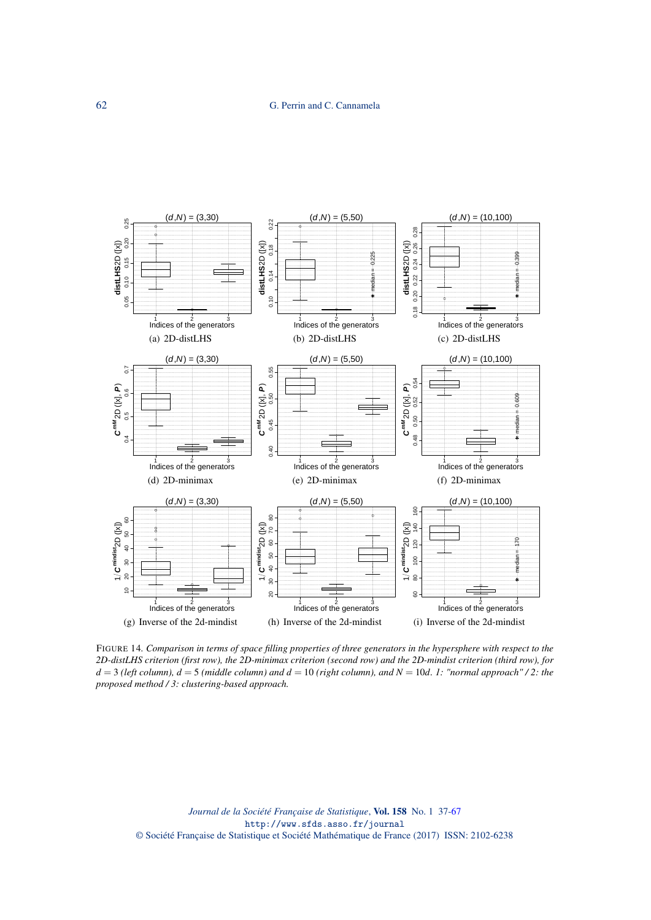

<span id="page-25-0"></span>FIGURE 14*. Comparison in terms of space filling properties of three generators in the hypersphere with respect to the 2D-distLHS criterion (first row), the 2D-minimax criterion (second row) and the 2D-mindist criterion (third row), for d* = 3 *(left column), d* = 5 *(middle column) and d* = 10 *(right column), and N* = 10*d. 1: "normal approach" / 2: the proposed method / 3: clustering-based approach.*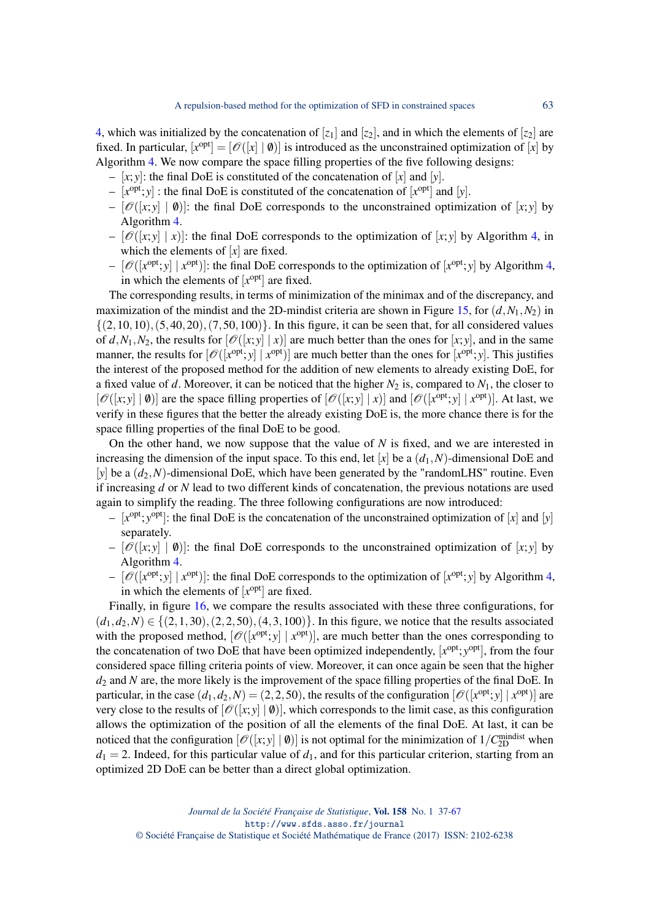[4,](#page-10-0) which was initialized by the concatenation of  $[z_1]$  and  $[z_2]$ , and in which the elements of  $[z_2]$  are fixed. In particular,  $[x^{opt}] = [\mathcal{O}([x] | \mathbf{0})]$  is introduced as the unconstrained optimization of  $[x]$  by Algorithm [4.](#page-10-0) We now compare the space filling properties of the five following designs:

- $-$  [x; y]: the final DoE is constituted of the concatenation of [x] and [y].
- $-[x^{\text{opt}}; y]$ : the final DoE is constituted of the concatenation of  $[x^{\text{opt}}]$  and  $[y]$ .
- $[O(|x; y] | 0)]$ : the final DoE corresponds to the unconstrained optimization of  $[x; y]$  by Algorithm [4.](#page-10-0)
- $[O(|x; y| | x)]$ : the final DoE corresponds to the optimization of  $[x; y]$  by Algorithm [4,](#page-10-0) in which the elements of [*x*] are fixed.
- $[\mathscr{O}([\mathbf{x}^{\text{opt}}; \mathbf{y}] | \mathbf{x}^{\text{opt}})]$ : the final DoE corresponds to the optimization of  $[\mathbf{x}^{\text{opt}}; \mathbf{y}]$  by Algorithm [4,](#page-10-0) in which the elements of  $[x^{\text{opt}}]$  are fixed.

The corresponding results, in terms of minimization of the minimax and of the discrepancy, and maximization of the mindist and the 2D-mindist criteria are shown in Figure [15,](#page-27-0) for  $(d, N_1, N_2)$  in  $\{(2,10,10),(5,40,20),(7,50,100)\}$ . In this figure, it can be seen that, for all considered values of  $d$ ,  $N_1$ ,  $N_2$ , the results for  $[O(|x; y | x)]$  are much better than the ones for  $[x; y]$ , and in the same manner, the results for  $[\mathcal{O}([\chi^{\text{opt}}; y] | x^{\text{opt}})]$  are much better than the ones for  $[x^{\text{opt}}; y]$ . This justifies the interest of the proposed method for the addition of new elements to already existing DoE, for a fixed value of *d*. Moreover, it can be noticed that the higher  $N_2$  is, compared to  $N_1$ , the closer to  $[\mathscr{O}([x, y] | \mathbf{0})]$  are the space filling properties of  $[\mathscr{O}([x, y] | x)]$  and  $[\mathscr{O}([x^{\text{opt}}; y] | x^{\text{opt}})]$ . At last, we verify in these figures that the better the already existing DoE is, the more chance there is for the space filling properties of the final DoE to be good.

On the other hand, we now suppose that the value of *N* is fixed, and we are interested in increasing the dimension of the input space. To this end, let  $[x]$  be a  $(d_1, N)$ -dimensional DoE and [ $y$ ] be a  $(d_2, N)$ -dimensional DoE, which have been generated by the "randomLHS" routine. Even if increasing *d* or *N* lead to two different kinds of concatenation, the previous notations are used again to simplify the reading. The three following configurations are now introduced:

- $[x^{opt}; y^{opt}]$ : the final DoE is the concatenation of the unconstrained optimization of  $[x]$  and  $[y]$ separately.
- $[O(|x; y] | 0)]$ : the final DoE corresponds to the unconstrained optimization of [x; y] by Algorithm [4.](#page-10-0)
- $[\mathscr{O}([\mathbf{x}^{\text{opt}}; \mathbf{y}] | \mathbf{x}^{\text{opt}})]$ : the final DoE corresponds to the optimization of  $[\mathbf{x}^{\text{opt}}; \mathbf{y}]$  by Algorithm [4,](#page-10-0) in which the elements of  $[x^{\text{opt}}]$  are fixed.

Finally, in figure [16,](#page-28-0) we compare the results associated with these three configurations, for  $(d_1, d_2, N) \in \{(2, 1, 30), (2, 2, 50), (4, 3, 100)\}.$  In this figure, we notice that the results associated with the proposed method,  $[\mathscr{O}([x^{\text{opt}}; y] | x^{\text{opt}})]$ , are much better than the ones corresponding to the concatenation of two DoE that have been optimized independently, [x<sup>opt</sup>; y<sup>opt</sup>], from the four considered space filling criteria points of view. Moreover, it can once again be seen that the higher *d*<sub>2</sub> and *N* are, the more likely is the improvement of the space filling properties of the final DoE. In particular, in the case  $(d_1, d_2, N) = (2, 2, 50)$ , the results of the configuration  $[\mathscr{O}([\mathbf{x}^{\text{opt}}; \mathbf{y}] | \mathbf{x}^{\text{opt}})]$  are very close to the results of  $[\mathcal{O}([x, y] | 0)]$ , which corresponds to the limit case, as this configuration allows the optimization of the position of all the elements of the final DoE. At last, it can be noticed that the configuration  $[\mathscr{O}([x, y] | \mathbf{0})]$  is not optimal for the minimization of  $1/C_{2D}^{\text{mindist}}$  when  $d_1 = 2$ . Indeed, for this particular value of  $d_1$ , and for this particular criterion, starting from an optimized 2D DoE can be better than a direct global optimization.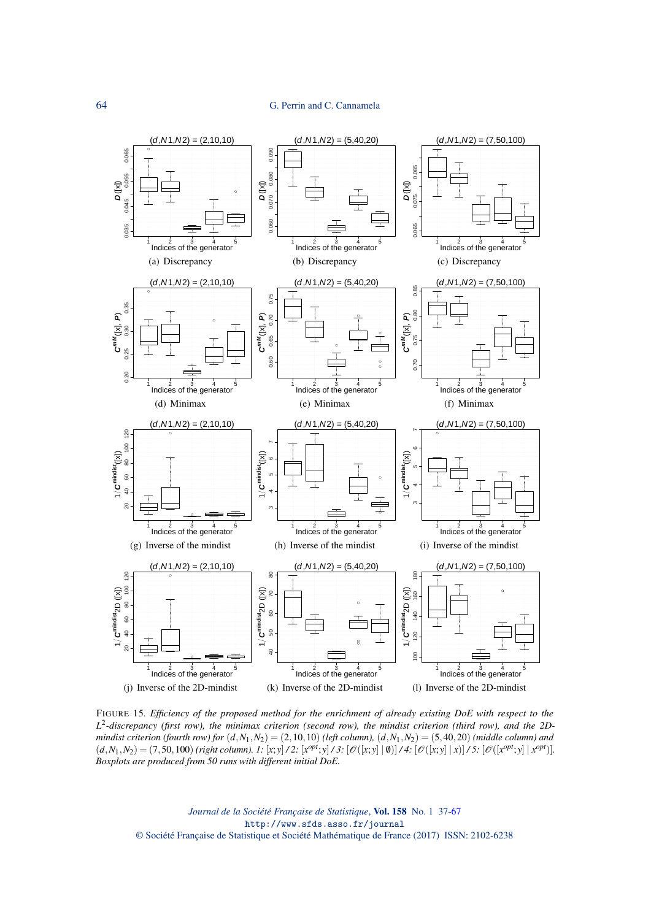### 64 G. Perrin and C. Cannamela



<span id="page-27-0"></span>FIGURE 15*. Efficiency of the proposed method for the enrichment of already existing DoE with respect to the L* 2 *-discrepancy (first row), the minimax criterion (second row), the mindist criterion (third row), and the 2Dmindist criterion (fourth row) for*  $(d, N_1, N_2) = (2, 10, 10)$  *(left column),*  $(d, N_1, N_2) = (5, 40, 20)$  *(middle column) and*  $(d, N_1, N_2) = (7, 50, 100)$  (right column). 1: [x; y] /2: [ $x^{opt}$ ; y] /3: [ $\mathcal{O}([x, y] | \emptyset)$ ] /4: [ $\mathcal{O}([x, y] | x)$ ] /5: [ $\mathcal{O}([x^{opt}; y] | x^{opt})$ ]. *Boxplots are produced from 50 runs with different initial DoE.*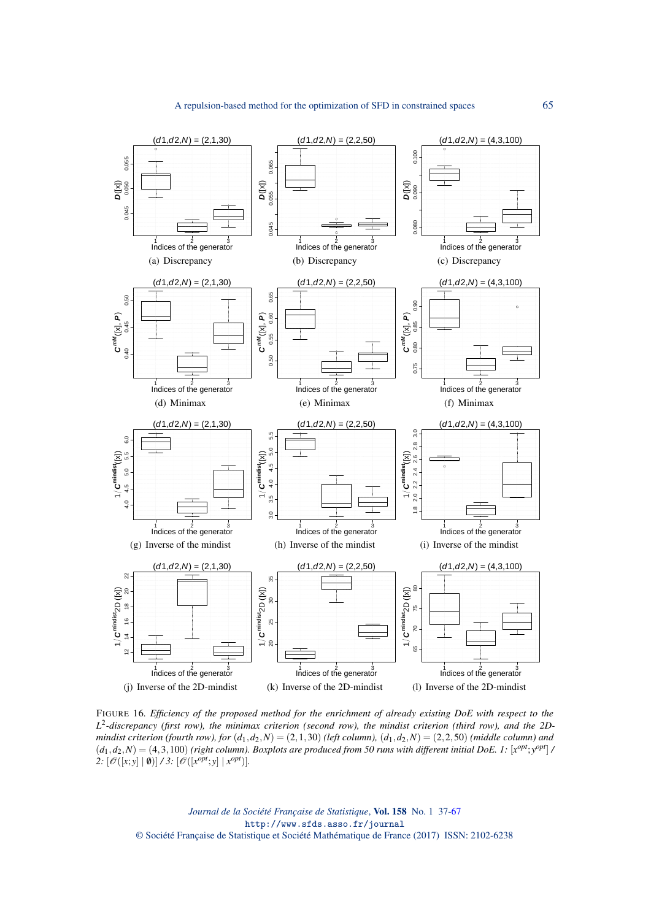

<span id="page-28-0"></span>FIGURE 16*. Efficiency of the proposed method for the enrichment of already existing DoE with respect to the L* 2 *-discrepancy (first row), the minimax criterion (second row), the mindist criterion (third row), and the 2Dmindist criterion (fourth row), for*  $(d_1, d_2, N) = (2, 1, 30)$  *(left column),*  $(d_1, d_2, N) = (2, 2, 50)$  *(middle column) and*  $(d_1, d_2, N) = (4, 3, 100)$  (right column). Boxplots are produced from 50 runs with different initial DoE. 1:  $[x^{opt}; y^{opt}]$ 2:  $[\mathscr{O}([x; y] | \mathbf{0})] \times 3$ :  $[\mathscr{O}([x^{opt}; y] | x^{opt})]$ .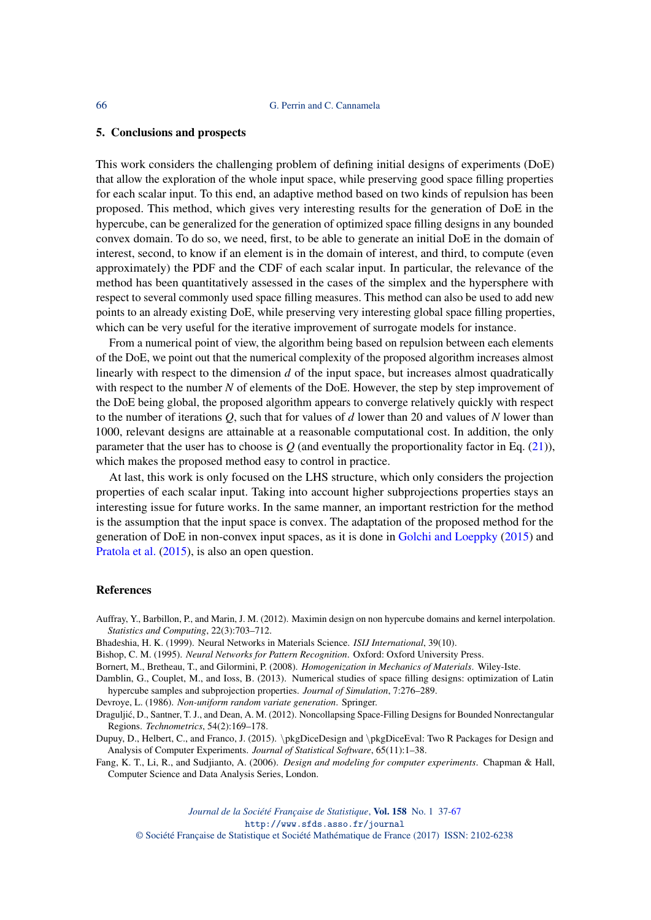#### 5. Conclusions and prospects

This work considers the challenging problem of defining initial designs of experiments (DoE) that allow the exploration of the whole input space, while preserving good space filling properties for each scalar input. To this end, an adaptive method based on two kinds of repulsion has been proposed. This method, which gives very interesting results for the generation of DoE in the hypercube, can be generalized for the generation of optimized space filling designs in any bounded convex domain. To do so, we need, first, to be able to generate an initial DoE in the domain of interest, second, to know if an element is in the domain of interest, and third, to compute (even approximately) the PDF and the CDF of each scalar input. In particular, the relevance of the method has been quantitatively assessed in the cases of the simplex and the hypersphere with respect to several commonly used space filling measures. This method can also be used to add new points to an already existing DoE, while preserving very interesting global space filling properties, which can be very useful for the iterative improvement of surrogate models for instance.

From a numerical point of view, the algorithm being based on repulsion between each elements of the DoE, we point out that the numerical complexity of the proposed algorithm increases almost linearly with respect to the dimension *d* of the input space, but increases almost quadratically with respect to the number *N* of elements of the DoE. However, the step by step improvement of the DoE being global, the proposed algorithm appears to converge relatively quickly with respect to the number of iterations *Q*, such that for values of *d* lower than 20 and values of *N* lower than 1000, relevant designs are attainable at a reasonable computational cost. In addition, the only parameter that the user has to choose is  $Q$  (and eventually the proportionality factor in Eq.  $(21)$ ), which makes the proposed method easy to control in practice.

At last, this work is only focused on the LHS structure, which only considers the projection properties of each scalar input. Taking into account higher subprojections properties stays an interesting issue for future works. In the same manner, an important restriction for the method is the assumption that the input space is convex. The adaptation of the proposed method for the generation of DoE in non-convex input spaces, as it is done in [Golchi and Loeppky](#page-30-26) [\(2015\)](#page-30-26) and [Pratola et al.](#page-30-27) [\(2015\)](#page-30-27), is also an open question.

#### References

<span id="page-29-3"></span>Auffray, Y., Barbillon, P., and Marin, J. M. (2012). Maximin design on non hypercube domains and kernel interpolation. *Statistics and Computing*, 22(3):703–712.

- <span id="page-29-1"></span>Bhadeshia, H. K. (1999). Neural Networks in Materials Science. *ISIJ International*, 39(10).
- <span id="page-29-0"></span>Bishop, C. M. (1995). *Neural Networks for Pattern Recognition*. Oxford: Oxford University Press.

<span id="page-29-7"></span>Bornert, M., Bretheau, T., and Gilormini, P. (2008). *Homogenization in Mechanics of Materials*. Wiley-Iste.

<span id="page-29-6"></span>Damblin, G., Couplet, M., and Ioss, B. (2013). Numerical studies of space filling designs: optimization of Latin hypercube samples and subprojection properties. *Journal of Simulation*, 7:276–289.

<span id="page-29-8"></span>Devroye, L. (1986). *Non-uniform random variate generation*. Springer.

<span id="page-29-4"></span>Draguljic, D., Santner, T. J., and Dean, A. M. (2012). Noncollapsing Space-Filling Designs for Bounded Nonrectangular ´ Regions. *Technometrics*, 54(2):169–178.

<span id="page-29-5"></span>Dupuy, D., Helbert, C., and Franco, J. (2015). \pkgDiceDesign and \pkgDiceEval: Two R Packages for Design and Analysis of Computer Experiments. *Journal of Statistical Software*, 65(11):1–38.

<span id="page-29-2"></span>Fang, K. T., Li, R., and Sudjianto, A. (2006). *Design and modeling for computer experiments*. Chapman & Hall, Computer Science and Data Analysis Series, London.

> *Journal de la Société Française de Statistique*, Vol. 158 No. 1 37[-67](#page-30-0) http://www.sfds.asso.fr/journal

© Société Française de Statistique et Société Mathématique de France (2017) ISSN: 2102-6238